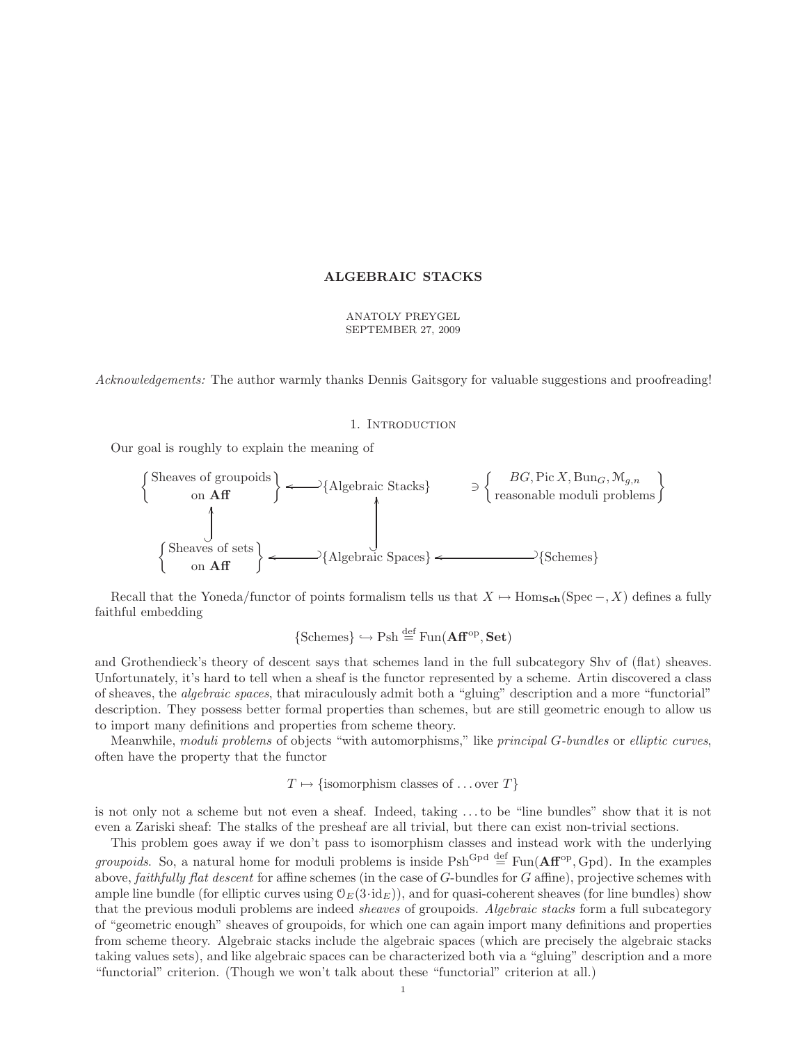### ALGEBRAIC STACKS

# ANATOLY PREYGEL SEPTEMBER 27, 2009

Acknowledgements: The author warmly thanks Dennis Gaitsgory for valuable suggestions and proofreading!

#### 1. INTRODUCTION

Our goal is roughly to explain the meaning of



Recall that the Yoneda/functor of points formalism tells us that  $X \mapsto \text{Hom}_{\text{Sch}}(\text{Spec} -, X)$  defines a fully faithful embedding

$$
\{\text{Schemes}\}\hookrightarrow \text{Psh} \stackrel{\text{def}}{=} \text{Fun}(\mathbf{Aff}^{\text{op}}, \mathbf{Set})
$$

and Grothendieck's theory of descent says that schemes land in the full subcategory Shv of (flat) sheaves. Unfortunately, it's hard to tell when a sheaf is the functor represented by a scheme. Artin discovered a class of sheaves, the algebraic spaces, that miraculously admit both a "gluing" description and a more "functorial" description. They possess better formal properties than schemes, but are still geometric enough to allow us to import many definitions and properties from scheme theory.

Meanwhile, moduli problems of objects "with automorphisms," like principal G-bundles or elliptic curves, often have the property that the functor

$$
T \mapsto \{\text{isomorphism classes of } \dots \text{over } T\}
$$

is not only not a scheme but not even a sheaf. Indeed, taking . . . to be "line bundles" show that it is not even a Zariski sheaf: The stalks of the presheaf are all trivial, but there can exist non-trivial sections.

This problem goes away if we don't pass to isomorphism classes and instead work with the underlying *groupoids*. So, a natural home for moduli problems is inside  $Psh^{Gpd} \stackrel{\text{def}}{=} Fun(\mathbf{Aff}^{\text{op}}, Gpd)$ . In the examples above, *faithfully flat descent* for affine schemes (in the case of  $G$ -bundles for  $G$  affine), projective schemes with ample line bundle (for elliptic curves using  $\mathcal{O}_E(3\cdot id_E)$ ), and for quasi-coherent sheaves (for line bundles) show that the previous moduli problems are indeed *sheaves* of groupoids. Algebraic stacks form a full subcategory of "geometric enough" sheaves of groupoids, for which one can again import many definitions and properties from scheme theory. Algebraic stacks include the algebraic spaces (which are precisely the algebraic stacks taking values sets), and like algebraic spaces can be characterized both via a "gluing" description and a more "functorial" criterion. (Though we won't talk about these "functorial" criterion at all.)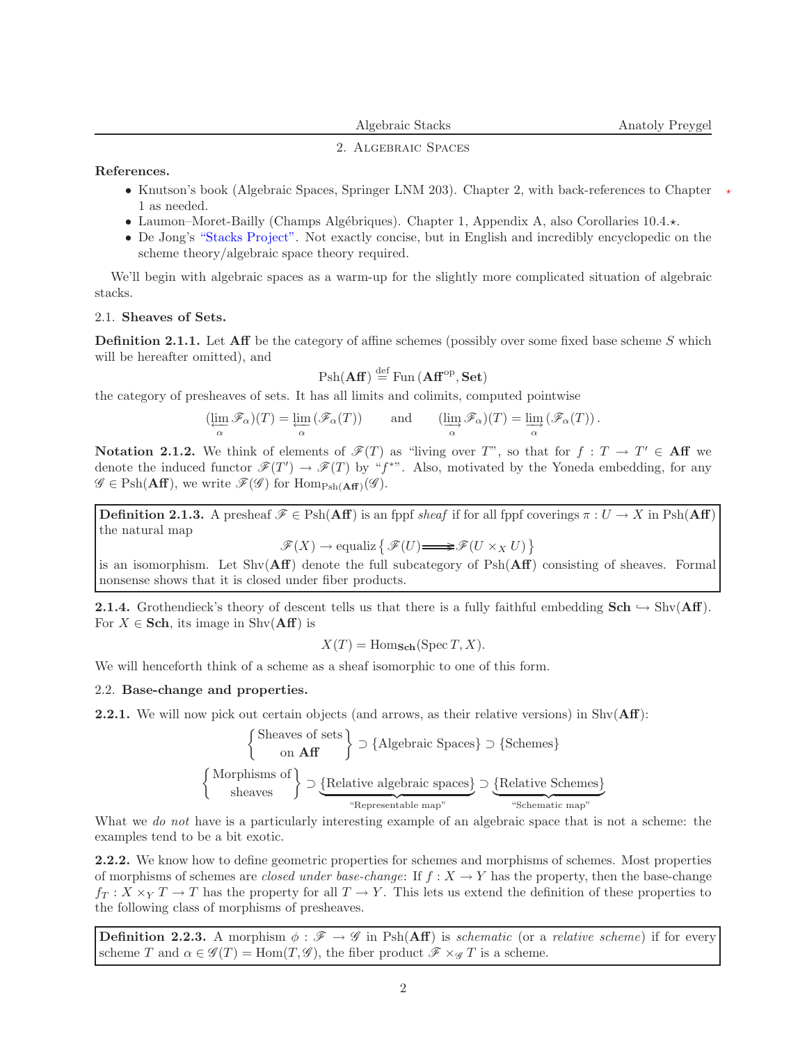#### 2. Algebraic Spaces

References.

- Knutson's book (Algebraic Spaces, Springer LNM 203). Chapter 2, with back-references to Chapter 1 as needed.
- Laumon–Moret-Bailly (Champs Algébriques). Chapter 1, Appendix A, also Corollaries  $10.4.\star$ .
- De Jong's ["Stacks Project".](http://www.math.columbia.edu/~dejong/algebraic_geometry/stacks-git/) Not exactly concise, but in English and incredibly encyclopedic on the scheme theory/algebraic space theory required.

We'll begin with algebraic spaces as a warm-up for the slightly more complicated situation of algebraic stacks.

# 2.1. Sheaves of Sets.

**Definition 2.1.1.** Let Aff be the category of affine schemes (possibly over some fixed base scheme S which will be hereafter omitted), and

$$
Psh(\mathbf{Aff}) \stackrel{\text{def}}{=} \text{Fun}(\mathbf{Aff}^{\text{op}}, \mathbf{Set})
$$

the category of presheaves of sets. It has all limits and colimits, computed pointwise

$$
(\varprojlim_\alpha \mathscr{F}_\alpha)(T) = \varprojlim_\alpha \left(\mathscr{F}_\alpha(T)\right) \qquad \text{and} \qquad (\varinjlim_\alpha \mathscr{F}_\alpha)(T) = \varinjlim_\alpha \left(\mathscr{F}_\alpha(T)\right).
$$

**Notation 2.1.2.** We think of elements of  $\mathscr{F}(T)$  as "living over T", so that for  $f: T \to T' \in Aff$  we denote the induced functor  $\mathscr{F}(T') \to \mathscr{F}(T)$  by "f<sup>\*</sup>". Also, motivated by the Yoneda embedding, for any  $\mathscr{G} \in \mathrm{Psh}(\mathbf{Aff})$ , we write  $\mathscr{F}(\mathscr{G})$  for  $\mathrm{Hom}_{\mathrm{Psh}(\mathbf{Aff})}(\mathscr{G})$ .

**Definition 2.1.3.** A presheaf  $\mathscr{F} \in \mathrm{Psh}(\mathbf{Aff})$  is an fppf sheaf if for all fppf coverings  $\pi: U \to X$  in  $\mathrm{Psh}(\mathbf{Aff})$ the natural map

 $\mathscr{F}(X) \to \text{equaliz} \{ \mathscr{F}(U) \longrightarrow \mathscr{F}(U \times_X U) \}$ 

is an isomorphism. Let  $\text{Shv}(\mathbf{Aff})$  denote the full subcategory of  $\text{Psh}(\mathbf{Aff})$  consisting of sheaves. Formal nonsense shows that it is closed under fiber products.

**2.1.4.** Grothendieck's theory of descent tells us that there is a fully faithful embedding  $\text{Sch} \hookrightarrow \text{Shv}(\text{Aff})$ . For  $X \in \mathbf{Sch}$ , its image in Shv $(\mathbf{Aff})$  is

$$
X(T) = \text{Hom}_{\text{Sch}}(\text{Spec } T, X).
$$

We will henceforth think of a scheme as a sheaf isomorphic to one of this form.

#### 2.2. Base-change and properties.

**2.2.1.** We will now pick out certain objects (and arrows, as their relative versions) in  $\text{Shv}(\text{Aff})$ :

$$
\begin{Bmatrix}\n\text{Sheaves of sets} \\
\text{on Aff}\n\end{Bmatrix} \supset \begin{Bmatrix}\n\text{Algebraic Spaces}\n\end{Bmatrix} \supset \begin{Bmatrix}\n\text{Schemes} \\
\text{Schemes}\n\end{Bmatrix}
$$
\n
$$
\sup \begin{Bmatrix}\n\text{Morphisms of} \\
\text{sheaves}\n\end{Bmatrix} \supset \underbrace{\begin{Bmatrix}\n\text{Relative algebraic spaces} \\
\text{"Representable map"}\n\end{Bmatrix} \supset \underbrace{\begin{Bmatrix}\n\text{Relative Schemes} \\
\text{"Schematic map"}\n\end{Bmatrix}}
$$

What we *do not* have is a particularly interesting example of an algebraic space that is not a scheme: the examples tend to be a bit exotic.

2.2.2. We know how to define geometric properties for schemes and morphisms of schemes. Most properties of morphisms of schemes are closed under base-change: If  $f : X \to Y$  has the property, then the base-change  $f_T: X \times_Y T \to T$  has the property for all  $T \to Y$ . This lets us extend the definition of these properties to the following class of morphisms of presheaves.

**Definition 2.2.3.** A morphism  $\phi : \mathscr{F} \to \mathscr{G}$  in Psh(Aff) is *schematic* (or a *relative scheme*) if for every scheme T and  $\alpha \in \mathscr{G}(T) = \text{Hom}(T, \mathscr{G})$ , the fiber product  $\mathscr{F} \times_{\mathscr{G}} T$  is a scheme.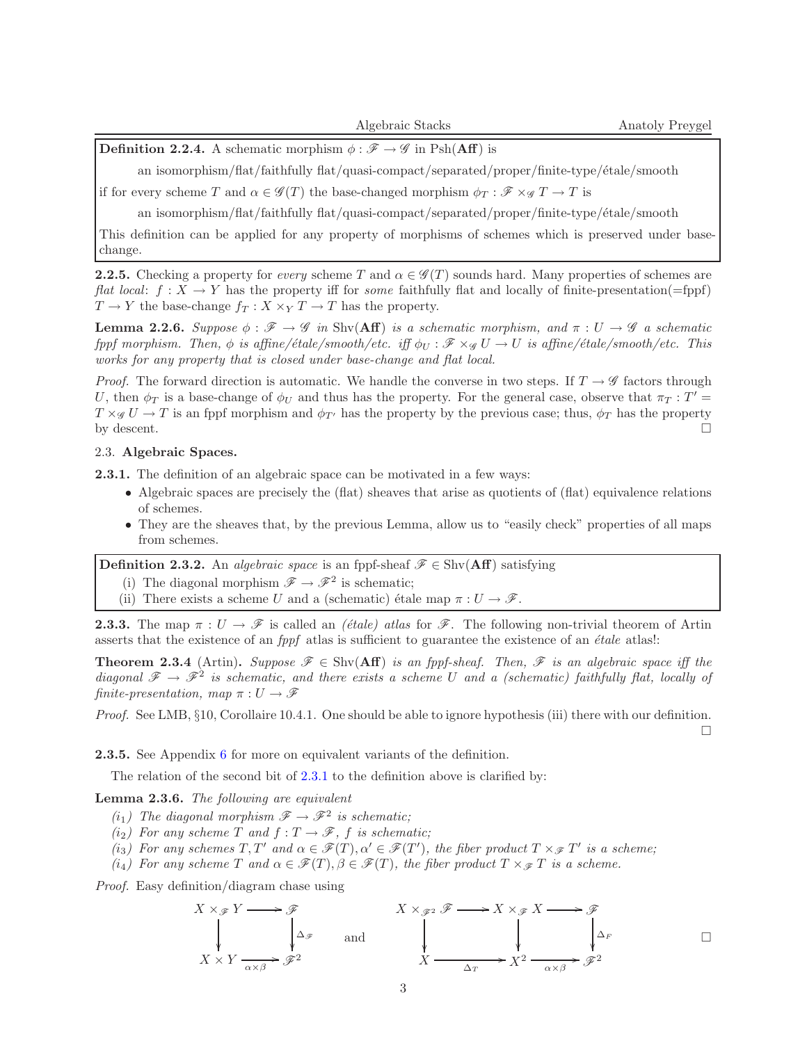$\Box$ 

**Definition 2.2.4.** A schematic morphism  $\phi : \mathscr{F} \to \mathscr{G}$  in Psh(Aff) is

an isomorphism/flat/faithfully flat/quasi-compact/separated/proper/finite-type/ $\acute{e}$ tale/smooth

if for every scheme T and  $\alpha \in \mathscr{G}(T)$  the base-changed morphism  $\phi_T : \mathscr{F} \times_{\mathscr{G}} T \to T$  is

an isomorphism/flat/faithfully flat/quasi-compact/separated/proper/finite-type/ $\acute{e}$ tale/smooth

This definition can be applied for any property of morphisms of schemes which is preserved under basechange.

**2.2.5.** Checking a property for every scheme T and  $\alpha \in \mathcal{G}(T)$  sounds hard. Many properties of schemes are flat local:  $f: X \to Y$  has the property iff for some faithfully flat and locally of finite-presentation(=fppf)  $T \to Y$  the base-change  $f_T : X \times_Y T \to T$  has the property.

<span id="page-2-3"></span>**Lemma 2.2.6.** Suppose  $\phi : \mathscr{F} \to \mathscr{G}$  in Shv(Aff) is a schematic morphism, and  $\pi : U \to \mathscr{G}$  a schematic fppf morphism. Then,  $\phi$  is affine/étale/smooth/etc. iff  $\phi_{\text{U}} : \mathscr{F} \times \mathscr{G} \cup \to U$  is affine/étale/smooth/etc. This works for any property that is closed under base-change and flat local.

*Proof.* The forward direction is automatic. We handle the converse in two steps. If  $T \to \mathscr{G}$  factors through U, then  $\phi_T$  is a base-change of  $\phi_U$  and thus has the property. For the general case, observe that  $\pi_T : T' =$  $T \times_{\mathscr{G}} U \to T$  is an fppf morphism and  $\phi_{T'}$  has the property by the previous case; thus,  $\phi_T$  has the property by descent.  $\Box$ 

# <span id="page-2-0"></span>2.3. Algebraic Spaces.

2.3.1. The definition of an algebraic space can be motivated in a few ways:

- Algebraic spaces are precisely the (flat) sheaves that arise as quotients of (flat) equivalence relations of schemes.
- They are the sheaves that, by the previous Lemma, allow us to "easily check" properties of all maps from schemes.

<span id="page-2-4"></span>**Definition 2.3.2.** An *algebraic space* is an fppf-sheaf  $\mathscr{F} \in \text{Shv}(\mathbf{Aff})$  satisfying

- (i) The diagonal morphism  $\mathscr{F} \to \mathscr{F}^2$  is schematic;
- (ii) There exists a scheme U and a (schematic) étale map  $\pi : U \to \mathscr{F}$ .

**2.3.3.** The map  $\pi: U \to \mathscr{F}$  is called an *(étale) atlas* for  $\mathscr{F}$ . The following non-trivial theorem of Artin asserts that the existence of an  $fppf$  atlas is sufficient to guarantee the existence of an  $\acute{e}tale$  atlas!:

<span id="page-2-5"></span>**Theorem 2.3.4** (Artin). Suppose  $\mathscr{F} \in \text{Shv}(\mathbf{Aff})$  is an fppf-sheaf. Then,  $\mathscr{F}$  is an algebraic space iff the diagonal  $\mathscr{F} \to \mathscr{F}^2$  is schematic, and there exists a scheme U and a (schematic) faithfully flat, locally of finite-presentation, map  $\pi: U \to \mathscr{F}$ 

Proof. See LMB, §10, Corollaire 10.4.1. One should be able to ignore hypothesis (iii) there with our definition.

2.3.5. See Appendix [6](#page-15-0) for more on equivalent variants of the definition.

The relation of the second bit of [2.3.1](#page-2-0) to the definition above is clarified by:

<span id="page-2-1"></span>Lemma 2.3.6. The following are equivalent

- $(i_1)$  The diagonal morphism  $\mathscr{F} \to \mathscr{F}^2$  is schematic;
- $(i_2)$  For any scheme T and  $f: T \to \mathscr{F}$ , f is schematic;
- (i<sub>3</sub>) For any schemes  $T, T'$  and  $\alpha \in \mathscr{F}(T), \alpha' \in \mathscr{F}(T')$ , the fiber product  $T \times_{\mathscr{F}} T'$  is a scheme;

(i<sub>4</sub>) For any scheme T and  $\alpha \in \mathscr{F}(T), \beta \in \mathscr{F}(T)$ , the fiber product  $T \times_{\mathscr{F}} T$  is a scheme.

<span id="page-2-2"></span>Proof. Easy definition/diagram chase using

$$
X \times_{\mathscr{F}} Y \longrightarrow \mathscr{F}
$$
  
\n
$$
\downarrow \Delta_{\mathscr{F}}
$$
  
\n
$$
X \times_{\mathscr{F}^2} \mathscr{F} \longrightarrow X \times_{\mathscr{F}} X \longrightarrow \mathscr{F}
$$
  
\n
$$
\downarrow \qquad \qquad \downarrow \qquad \qquad \downarrow \qquad \qquad \downarrow \qquad \qquad \downarrow \qquad \qquad \downarrow \qquad \qquad \downarrow \qquad \qquad \Box
$$
  
\n
$$
X \times Y \xrightarrow{\alpha \times \beta} \mathscr{F}^2
$$
  
\nand  
\n
$$
X \longrightarrow X \longrightarrow X^2 \xrightarrow{\alpha \times \beta} \mathscr{F}^2
$$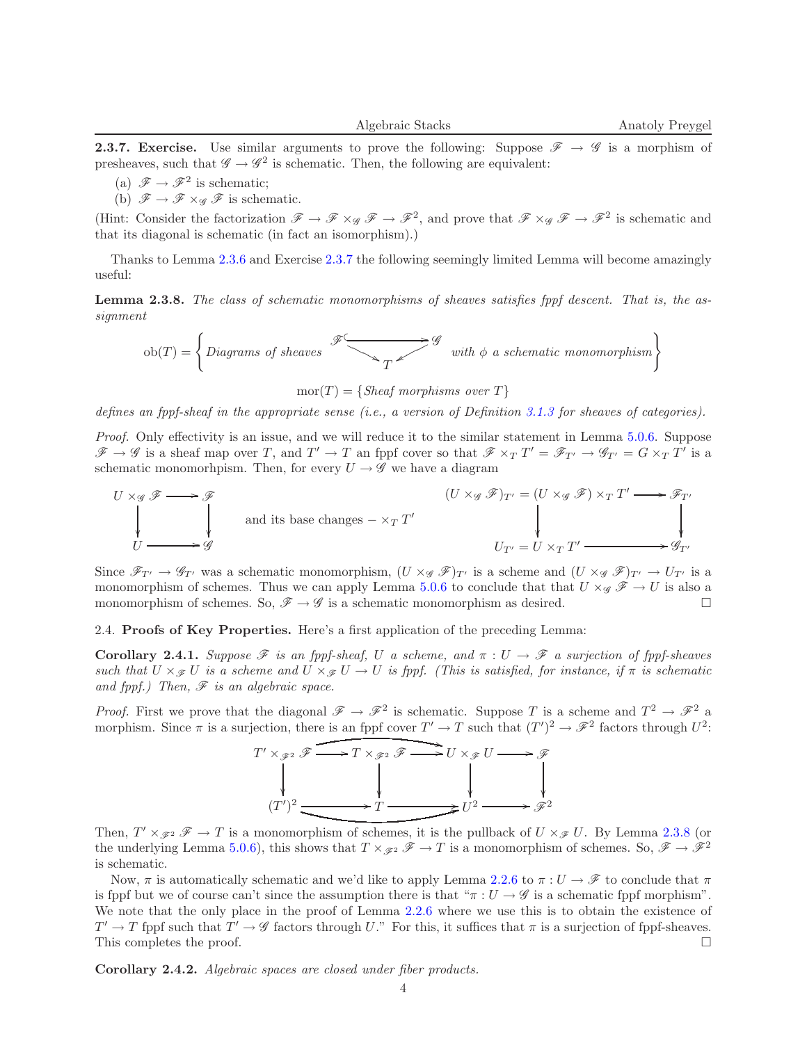**2.3.7. Exercise.** Use similar arguments to prove the following: Suppose  $\mathscr{F} \to \mathscr{G}$  is a morphism of presheaves, such that  $\mathscr{G} \to \mathscr{G}^2$  is schematic. Then, the following are equivalent:

- (a)  $\mathscr{F} \to \mathscr{F}^2$  is schematic;
- (b)  $\mathscr{F} \to \mathscr{F} \times_{\mathscr{G}} \mathscr{F}$  is schematic.

(Hint: Consider the factorization  $\mathscr{F} \to \mathscr{F} \times_{\mathscr{G}} \mathscr{F} \to \mathscr{F}^2$ , and prove that  $\mathscr{F} \times_{\mathscr{G}} \mathscr{F} \to \mathscr{F}^2$  is schematic and that its diagonal is schematic (in fact an isomorphism).)

<span id="page-3-0"></span>Thanks to Lemma [2.3.6](#page-2-1) and Exercise [2.3.7](#page-2-2) the following seemingly limited Lemma will become amazingly useful:

Lemma 2.3.8. The class of schematic monomorphisms of sheaves satisfies for descent. That is, the assignment

$$
\text{ob}(T) = \left\{ \text{Diagrams of sheaves} \begin{array}{c} \mathscr{F} \\ \hline \\ T \end{array} \right\} \text{ with } \phi \text{ a schematic monomorphism} \right\}
$$

 $mor(T) = {Sheaf morphisms over T}$ 

defines an fppf-sheaf in the appropriate sense (i.e., a version of Definition [3.1.3](#page-6-0) for sheaves of categories).

Proof. Only effectivity is an issue, and we will reduce it to the similar statement in Lemma [5.0.6.](#page-14-0) Suppose  $\mathscr{F} \to \mathscr{G}$  is a sheaf map over T, and  $T' \to T$  an fppf cover so that  $\mathscr{F} \times_T T' = \mathscr{F}_{T'} \to \mathscr{G}_{T'} = G \times_T T'$  is a schematic monomorhpism. Then, for every  $U \rightarrow \mathscr{G}$  we have a diagram

$$
(U \times_g \mathcal{F})_{T'} = (U \times_g \mathcal{F}) \times_T T' \longrightarrow \mathcal{F}_{T'}
$$
  
\nand its base changes  $-\times_T T'$   
\n
$$
U_{T'} = U \times_T T' \longrightarrow \mathcal{G}_{T'}
$$
  
\n
$$
U_{T'} = U \times_T T' \longrightarrow \mathcal{G}_{T'}
$$

Since  $\mathscr{F}_{T'} \to \mathscr{G}_{T'}$  was a schematic monomorphism,  $(U \times_{\mathscr{G}} \mathscr{F})_{T'}$  is a scheme and  $(U \times_{\mathscr{G}} \mathscr{F})_{T'} \to U_{T'}$  is a monomorphism of schemes. Thus we can apply Lemma [5.0.6](#page-14-0) to conclude that that  $U \times_{\mathscr{G}} \mathscr{F} \to U$  is also a monomorphism of schemes. So,  $\mathscr{F} \to \mathscr{G}$  is a schematic monomorphism as desired.

<span id="page-3-1"></span>2.4. Proofs of Key Properties. Here's a first application of the preceding Lemma:

**Corollary 2.4.1.** Suppose  $\mathscr F$  is an fppf-sheaf, U a scheme, and  $\pi: U \to \mathscr F$  a surjection of fppf-sheaves such that  $U \times_{\mathscr{F}} U$  is a scheme and  $U \times_{\mathscr{F}} U \to U$  is fppf. (This is satisfied, for instance, if  $\pi$  is schematic and fppf.) Then,  $\mathscr F$  is an algebraic space.

*Proof.* First we prove that the diagonal  $\mathscr{F} \to \mathscr{F}^2$  is schematic. Suppose T is a scheme and  $T^2 \to \mathscr{F}^2$  a morphism. Since  $\pi$  is a surjection, there is an fppf cover  $T' \to T$  such that  $(T')^2 \to \mathscr{F}^2$  factors through  $U^2$ :



Then,  $T' \times_{\mathscr{F}^2} \mathscr{F} \to T$  is a monomorphism of schemes, it is the pullback of  $U \times_{\mathscr{F}} U$ . By Lemma [2.3.8](#page-3-0) (or the underlying Lemma [5.0.6\)](#page-14-0), this shows that  $T \times_{\mathscr{F}^2} \mathscr{F} \to T$  is a monomorphism of schemes. So,  $\mathscr{F} \to \mathscr{F}^2$ is schematic.

Now,  $\pi$  is automatically schematic and we'd like to apply Lemma [2.2.6](#page-2-3) to  $\pi: U \to \mathscr{F}$  to conclude that  $\pi$ is fppf but we of course can't since the assumption there is that  $\pi : U \to \mathscr{G}$  is a schematic fppf morphism". We note that the only place in the proof of Lemma [2.2.6](#page-2-3) where we use this is to obtain the existence of  $T' \to T$  fppf such that  $T' \to \mathscr{G}$  factors through U." For this, it suffices that  $\pi$  is a surjection of fppf-sheaves. This completes the proof.  $\square$ 

<span id="page-3-2"></span>Corollary 2.4.2. Algebraic spaces are closed under fiber products.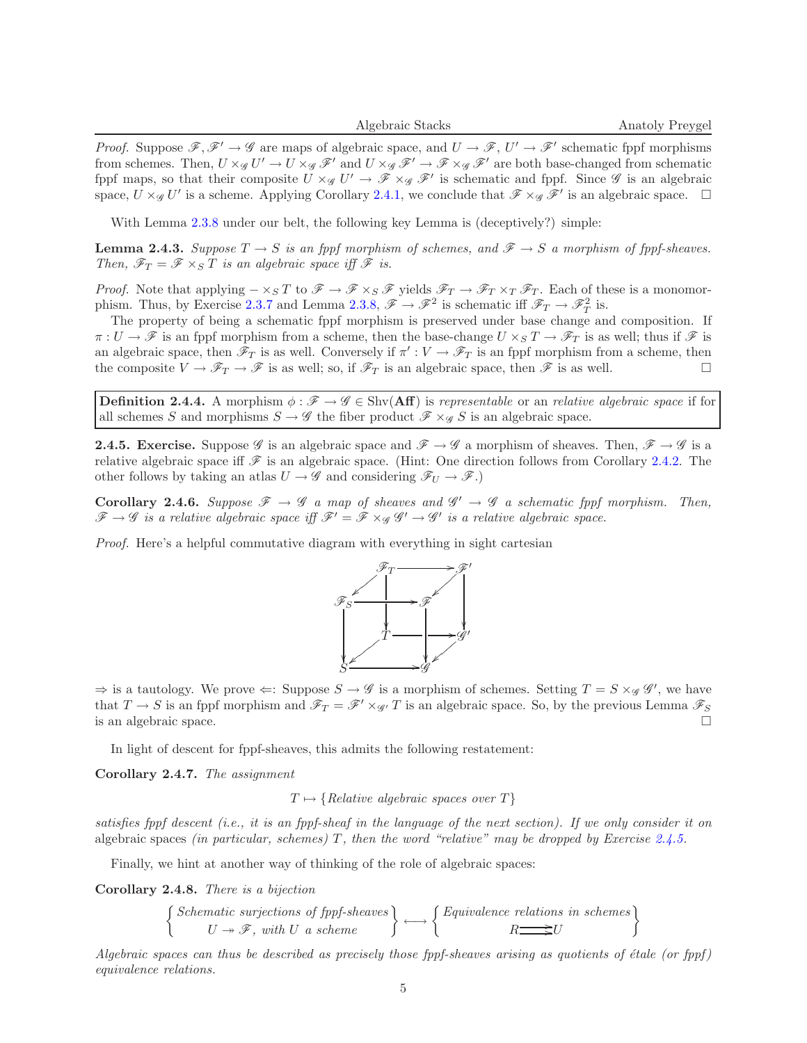*Proof.* Suppose  $\mathscr{F}, \mathscr{F}' \to \mathscr{G}$  are maps of algebraic space, and  $U \to \mathscr{F}, U' \to \mathscr{F}'$  schematic fppf morphisms from schemes. Then,  $U \times_{\mathscr{G}} U' \to U \times_{\mathscr{G}} \mathscr{F}'$  and  $U \times_{\mathscr{G}} \mathscr{F}' \to \mathscr{F} \times_{\mathscr{G}} \mathscr{F}'$  are both base-changed from schematic fppf maps, so that their composite  $U \times_{\mathscr{G}} U' \to \mathscr{F} \times_{\mathscr{G}} \mathscr{F}'$  is schematic and fppf. Since  $\mathscr{G}$  is an algebraic space,  $U \times_{\mathscr{G}} U'$  is a scheme. Applying Corollary [2.4.1,](#page-3-1) we conclude that  $\mathscr{F} \times_{\mathscr{G}} \mathscr{F}'$  is an algebraic space.  $\Box$ 

With Lemma  $2.3.8$  under our belt, the following key Lemma is (deceptively?) simple:

**Lemma 2.4.3.** Suppose  $T \to S$  is an fppf morphism of schemes, and  $\mathscr{F} \to S$  a morphism of fppf-sheaves. Then,  $\mathscr{F}_T = \mathscr{F} \times_S T$  is an algebraic space iff  $\mathscr{F}$  is.

*Proof.* Note that applying  $-\times_S T$  to  $\mathscr{F} \to \mathscr{F} \times_S \mathscr{F}$  yields  $\mathscr{F}_T \to \mathscr{F}_T \times_T \mathscr{F}_T$ . Each of these is a monomor-phism. Thus, by Exercise [2.3.7](#page-2-2) and Lemma [2.3.8,](#page-3-0)  $\mathscr{F} \to \mathscr{F}^2$  is schematic iff  $\mathscr{F}_T \to \mathscr{F}_T^2$  is.

The property of being a schematic fppf morphism is preserved under base change and composition. If  $\pi: U \to \mathscr{F}$  is an fppf morphism from a scheme, then the base-change  $U \times_S T \to \mathscr{F}_T$  is as well; thus if  $\mathscr{F}$  is an algebraic space, then  $\mathscr{F}_T$  is as well. Conversely if  $\pi': V \to \mathscr{F}_T$  is an fppf morphism from a scheme, then the composite  $V \to \mathscr{F}_T \to \mathscr{F}$  is as well; so, if  $\mathscr{F}_T$  is an algebraic space, then  $\mathscr{F}$  is as well.

**Definition 2.4.4.** A morphism  $\phi : \mathscr{F} \to \mathscr{G} \in \text{Shv}(\mathbf{Aff})$  is representable or an relative algebraic space if for all schemes S and morphisms  $S \to \mathscr{G}$  the fiber product  $\mathscr{F} \times_{\mathscr{G}} S$  is an algebraic space.

<span id="page-4-0"></span>**2.4.5. Exercise.** Suppose  $\mathscr G$  is an algebraic space and  $\mathscr F \to \mathscr G$  a morphism of sheaves. Then,  $\mathscr F \to \mathscr G$  is a relative algebraic space iff  $\mathscr F$  is an algebraic space. (Hint: One direction follows from Corollary [2.4.2.](#page-3-2) The other follows by taking an atlas  $U \to \mathscr{G}$  and considering  $\mathscr{F}_U \to \mathscr{F}$ .)

**Corollary 2.4.6.** Suppose  $\mathscr{F} \to \mathscr{G}$  a map of sheaves and  $\mathscr{G}' \to \mathscr{G}$  a schematic fppf morphism. Then,  $\mathscr{F} \to \mathscr{G}$  is a relative algebraic space iff  $\mathscr{F}' = \mathscr{F} \times_{\mathscr{G}} \mathscr{G}' \to \mathscr{G}'$  is a relative algebraic space.

Proof. Here's a helpful commutative diagram with everything in sight cartesian



 $\Rightarrow$  is a tautology. We prove  $\Leftarrow$ : Suppose  $S \rightarrow \mathscr{G}$  is a morphism of schemes. Setting  $T = S \times_{\mathscr{G}} \mathscr{G}'$ , we have that  $T \to S$  is an fppf morphism and  $\mathscr{F}_T = \mathscr{F}' \times_{\mathscr{G}'} T$  is an algebraic space. So, by the previous Lemma  $\mathscr{F}_S$ is an algebraic space.

In light of descent for fppf-sheaves, this admits the following restatement:

<span id="page-4-1"></span>Corollary 2.4.7. The assignment

 $T \mapsto \{Relative \ algebraic \ spaces \ over \ T\}$ 

satisfies fppf descent (i.e., it is an fppf-sheaf in the language of the next section). If we only consider it on algebraic spaces (in particular, schemes) T, then the word "relative" may be dropped by Exercise [2.4.5.](#page-4-0)

Finally, we hint at another way of thinking of the role of algebraic spaces:

Corollary 2.4.8. There is a bijection

$$
\left\{\n\begin{array}{c}\n\text{Schematic surjections of fppf-sheaves} \\
U \rightarrow \mathcal{F}, \text{ with } U \text{ a scheme}\n\end{array}\n\right\} \longleftrightarrow \left\{\n\begin{array}{c}\n\text{Equivalence relations in schemes} \\
R \longrightarrow U\n\end{array}\n\right\}
$$

Algebraic spaces can thus be described as precisely those fppf-sheaves arising as quotients of étale (or fppf) equivalence relations.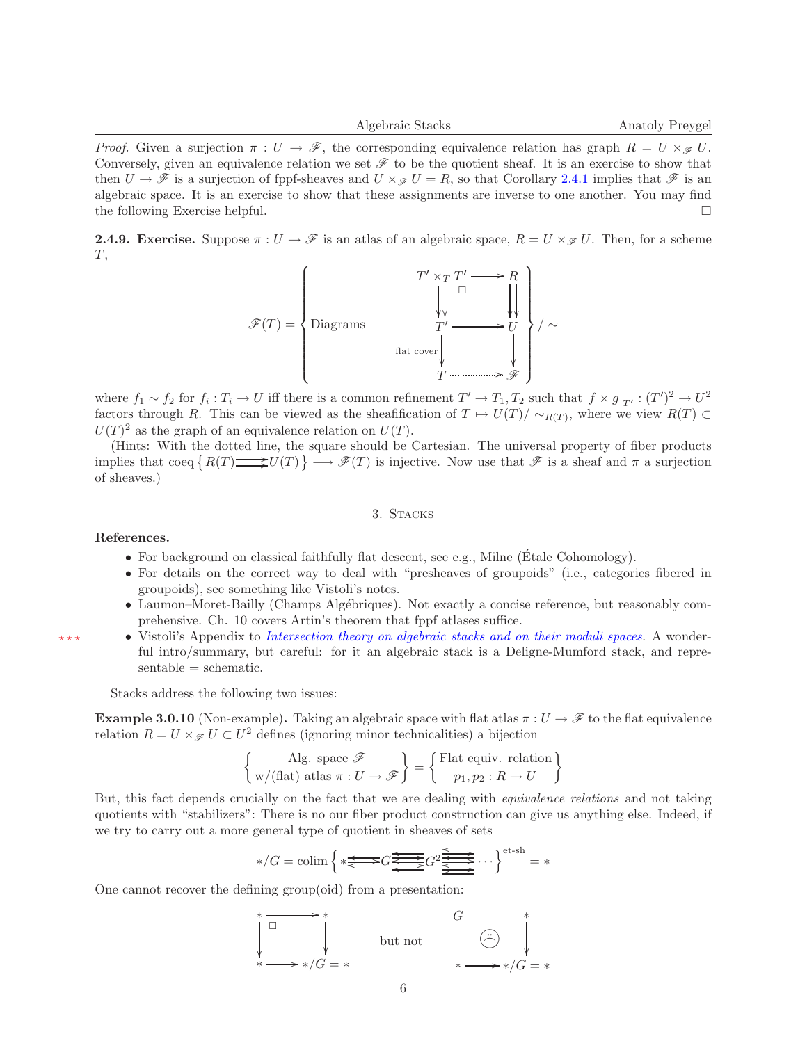*Proof.* Given a surjection  $\pi : U \to \mathscr{F}$ , the corresponding equivalence relation has graph  $R = U \times_{\mathscr{F}} U$ . Conversely, given an equivalence relation we set  $\mathscr F$  to be the quotient sheaf. It is an exercise to show that then  $U \to \mathscr{F}$  is a surjection of fppf-sheaves and  $U \times \mathscr{F} U = R$ , so that Corollary [2.4.1](#page-3-1) implies that  $\mathscr{F}$  is an algebraic space. It is an exercise to show that these assignments are inverse to one another. You may find the following Exercise helpful.

**2.4.9. Exercise.** Suppose  $\pi: U \to \mathscr{F}$  is an atlas of an algebraic space,  $R = U \times_{\mathscr{F}} U$ . Then, for a scheme  $T,$ 



where  $f_1 \sim f_2$  for  $f_i: T_i \to U$  iff there is a common refinement  $T' \to T_1, T_2$  such that  $f \times g|_{T'}: (T')^2 \to U^2$ factors through R. This can be viewed as the sheafification of  $T \mapsto U(T)/\sim_{R(T)}$ , where we view  $R(T) \subset$  $U(T)^2$  as the graph of an equivalence relation on  $U(T)$ .

(Hints: With the dotted line, the square should be Cartesian. The universal property of fiber products implies that coeq  $\{R(T) \longrightarrow \mathscr{F}(T)\} \longrightarrow \mathscr{F}(T)$  is injective. Now use that  $\mathscr{F}$  is a sheaf and  $\pi$  a surjection of sheaves.)

# 3. STACKS

#### <span id="page-5-0"></span>References.

- For background on classical faithfully flat descent, see e.g., Milne (Étale Cohomology).
- For details on the correct way to deal with "presheaves of groupoids" (i.e., categories fibered in groupoids), see something like Vistoli's notes.
- Laumon–Moret-Bailly (Champs Algébriques). Not exactly a concise reference, but reasonably comprehensive. Ch. 10 covers Artin's theorem that fppf atlases suffice.
- $\star\star\star$  Vistoli's Appendix to [Intersection theory on algebraic stacks and on their moduli](http://www.springerlink.com/index/L8568034M5747385.pdf) spaces. A wonderful intro/summary, but careful: for it an algebraic stack is a Deligne-Mumford stack, and repre $sentable = schematic.$

Stacks address the following two issues:

**Example 3.0.10** (Non-example). Taking an algebraic space with flat atlas  $\pi: U \to \mathscr{F}$  to the flat equivalence relation  $R = U \times_{\mathcal{F}} U \subset U^2$  defines (ignoring minor technicalities) a bijection

$$
\left\{\begin{array}{c}\text{Alg. space }\mathscr{F} \\ \text{w/(flat) atlas }\pi:U\to\mathscr{F}\end{array}\right\} = \left\{\begin{array}{c}\text{Flat equiv. relation} \\ p_1,p_2:R\to U\end{array}\right\}
$$

But, this fact depends crucially on the fact that we are dealing with equivalence relations and not taking quotients with "stabilizers": There is no our fiber product construction can give us anything else. Indeed, if we try to carry out a more general type of quotient in sheaves of sets

$$
*/G = \operatorname{colim}\left\{*\overset{\underbrace{\Longleftrightarrow}G}{\Longleftrightarrow}G\overset{\underbrace{\Longleftrightarrow}G}{\Longleftrightarrow}G^2\overset{\underbrace{\Longleftrightarrow}G}{\Longleftrightarrow}\cdots\right\}^{\text{et-sh}} = *
$$

One cannot recover the defining group(oid) from a presentation:

$$
\begin{array}{ccc}\n\ast & \xrightarrow{\text{max}} & \ast \\
\downarrow & & \downarrow \\
\ast & \xrightarrow{\text{max}} & \ast & \searrow \\
\ast & \xrightarrow{\text{max}} & \ast & \searrow \\
\end{array}
$$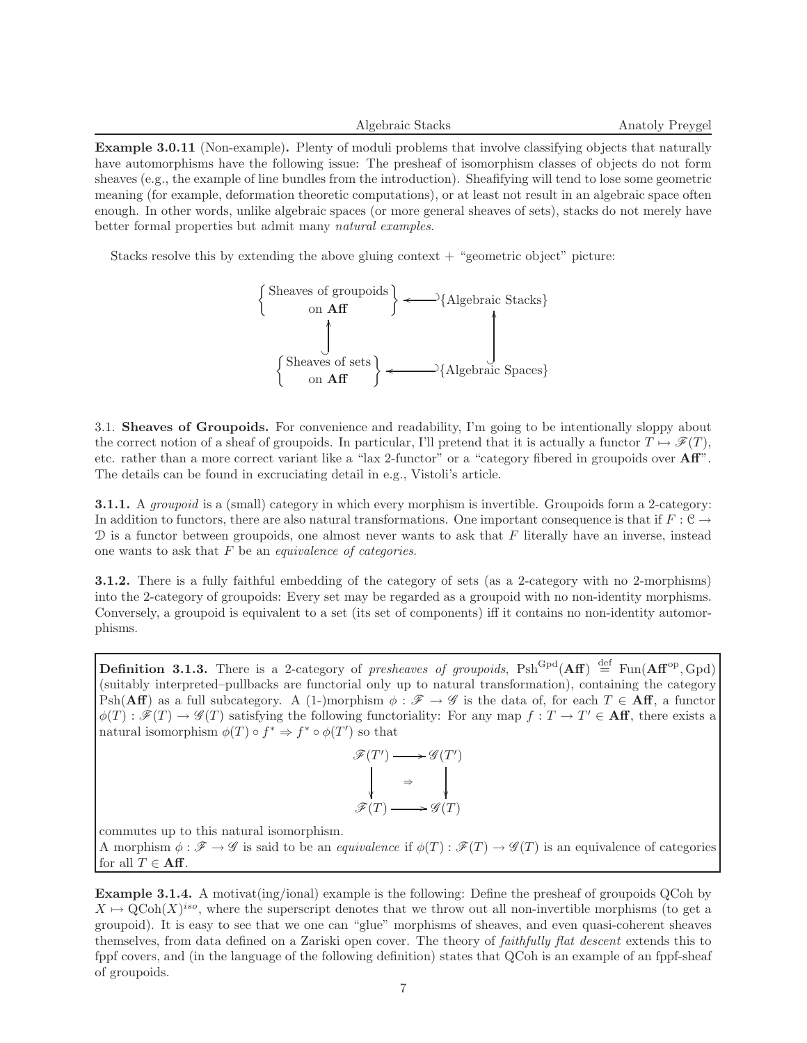Example 3.0.11 (Non-example). Plenty of moduli problems that involve classifying objects that naturally have automorphisms have the following issue: The presheaf of isomorphism classes of objects do not form sheaves (e.g., the example of line bundles from the introduction). Sheafifying will tend to lose some geometric meaning (for example, deformation theoretic computations), or at least not result in an algebraic space often enough. In other words, unlike algebraic spaces (or more general sheaves of sets), stacks do not merely have better formal properties but admit many natural examples.

Stacks resolve this by extending the above gluing context  $+$  "geometric object" picture:



3.1. Sheaves of Groupoids. For convenience and readability, I'm going to be intentionally sloppy about the correct notion of a sheaf of groupoids. In particular, I'll pretend that it is actually a functor  $T \mapsto \mathscr{F}(T)$ , etc. rather than a more correct variant like a "lax 2-functor" or a "category fibered in groupoids over Aff". The details can be found in excruciating detail in e.g., Vistoli's article.

**3.1.1.** A groupoid is a (small) category in which every morphism is invertible. Groupoids form a 2-category: In addition to functors, there are also natural transformations. One important consequence is that if  $F: \mathcal{C} \to$  $D$  is a functor between groupoids, one almost never wants to ask that  $F$  literally have an inverse, instead one wants to ask that  $F$  be an *equivalence of categories*.

3.1.2. There is a fully faithful embedding of the category of sets (as a 2-category with no 2-morphisms) into the 2-category of groupoids: Every set may be regarded as a groupoid with no non-identity morphisms. Conversely, a groupoid is equivalent to a set (its set of components) iff it contains no non-identity automorphisms.

<span id="page-6-0"></span>**Definition 3.1.3.** There is a 2-category of presheaves of groupoids,  $Psh^{Gpd}(Aff) \stackrel{\text{def}}{=} \text{Fun}(Aff^{op}, Gpd)$ (suitably interpreted–pullbacks are functorial only up to natural transformation), containing the category Psh(Aff) as a full subcategory. A (1-)morphism  $\phi : \mathscr{F} \to \mathscr{G}$  is the data of, for each  $T \in Aff$ , a functor  $\phi(T): \mathscr{F}(T) \to \mathscr{G}(T)$  satisfying the following functoriality: For any map  $f: T \to T' \in \mathbf{Aff}$ , there exists a natural isomorphism  $\phi(T) \circ f^* \Rightarrow f^* \circ \phi(T')$  so that



commutes up to this natural isomorphism.

A morphism  $\phi : \mathscr{F} \to \mathscr{G}$  is said to be an *equivalence* if  $\phi(T) : \mathscr{F}(T) \to \mathscr{G}(T)$  is an equivalence of categories for all  $T \in Aff$ .

Example 3.1.4. A motivat(ing/ional) example is the following: Define the presheaf of groupoids QCoh by  $X \mapsto \text{QCoh}(X)^{iso}$ , where the superscript denotes that we throw out all non-invertible morphisms (to get a groupoid). It is easy to see that we one can "glue" morphisms of sheaves, and even quasi-coherent sheaves themselves, from data defined on a Zariski open cover. The theory of faithfully flat descent extends this to fppf covers, and (in the language of the following definition) states that QCoh is an example of an fppf-sheaf of groupoids.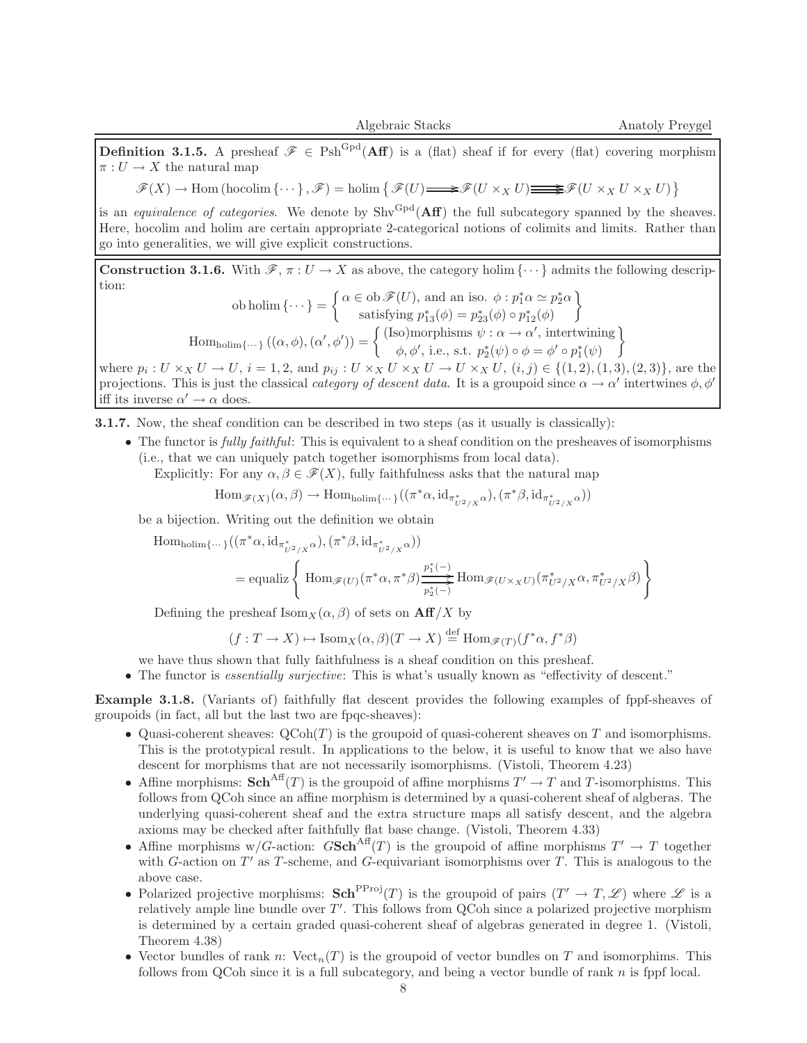**Definition 3.1.5.** A presheaf  $\mathscr{F} \in \text{Psh}^{\text{Gpd}}(\mathbf{Aff})$  is a (flat) sheaf if for every (flat) covering morphism  $\pi: U \to X$  the natural map

 $\mathscr{F}(X) \to \text{Hom} \left( \text{hocolim} \left\{ \cdots \right\}, \mathscr{F} \right) = \text{holim} \left\{ \mathscr{F}(U) \text{ and } U \times_X U \text{ in } U \times_X U \times_X U \right\}$ 

is an *equivalence of categories*. We denote by  $Shv^{Gpd}(\mathbf{Aff})$  the full subcategory spanned by the sheaves. Here, hocolim and holim are certain appropriate 2-categorical notions of colimits and limits. Rather than go into generalities, we will give explicit constructions.

<span id="page-7-0"></span>**Construction 3.1.6.** With  $\mathscr{F}, \pi : U \to X$  as above, the category holim  $\{\cdots\}$  admits the following description:

ob holim 
$$
\{\cdots\} = \begin{cases} \alpha \in \text{ob } \mathscr{F}(U), \text{ and an iso. } \phi : p_1^* \alpha \simeq p_2^* \alpha \\ \text{satisfying } p_{13}^* (\phi) = p_{23}^* (\phi) \circ p_{12}^* (\phi) \end{cases}
$$
  
Hom<sub>holim</sub> $\{\cdots\} ((\alpha, \phi), (\alpha', \phi')) = \begin{cases} \text{(Iso)morphisms } \psi : \alpha \to \alpha', \text{ intertwining} \\ \phi, \phi', \text{ i.e., s.t. } p_2^* (\psi) \circ \phi = \phi' \circ p_1^* (\psi) \end{cases}$ 

where  $p_i: U \times_X U \to U$ ,  $i = 1, 2$ , and  $p_{ij}: U \times_X U \times_X U \to U \times_X U$ ,  $(i, j) \in \{(1, 2), (1, 3), (2, 3)\}$ , are the projections. This is just the classical *category of descent data*. It is a groupoid since  $\alpha \to \alpha'$  intertwines  $\phi, \phi'$ iff its inverse  $\alpha' \to \alpha$  does.

3.1.7. Now, the sheaf condition can be described in two steps (as it usually is classically):

• The functor is *fully faithful*: This is equivalent to a sheaf condition on the presheaves of isomorphisms (i.e., that we can uniquely patch together isomorphisms from local data).

Explicitly: For any  $\alpha, \beta \in \mathcal{F}(X)$ , fully faithfulness asks that the natural map

 $\text{Hom}_{\mathscr{F}(X)}(\alpha,\beta) \to \text{Hom}_{\text{holim}\{\cdots\}}((\pi^*\alpha,\text{id}_{\pi^*_{U^2/X}\alpha}),(\pi^*\beta,\text{id}_{\pi^*_{U^2/X}\alpha}))$ 

be a bijection. Writing out the definition we obtain

$$
\begin{aligned} \operatorname{Hom}_{\text{holim}\{\cdots\}}((\pi^*\alpha, \operatorname{id}_{\pi^*_{U^2/X}\alpha}),(\pi^*\beta, \operatorname{id}_{\pi^*_{U^2/X}\alpha}))\\ &= \operatorname{equaliz}\left\{\ \operatorname{Hom}_{\mathscr{F}(U)}(\pi^*\alpha, \pi^*\beta)\frac{\frac{p_1^*(-)}{p_2^*(-)}}{\frac{p_2^*(-)}{p_2^*(-)}}\operatorname{Hom}_{\mathscr{F}(U\times_XU)}(\pi^*_{U^2/X}\alpha, \pi^*_{U^2/X}\beta)\right\} \end{aligned}
$$

Defining the presheaf  $\text{Isom}_X(\alpha, \beta)$  of sets on  $\text{Aff}/X$  by

$$
(f: T \to X) \mapsto \text{Isom}_X(\alpha, \beta)(T \to X) \stackrel{\text{def}}{=} \text{Hom}_{\mathscr{F}(T)}(f^* \alpha, f^* \beta)
$$

we have thus shown that fully faithfulness is a sheaf condition on this presheaf.

• The functor is *essentially surjective*: This is what's usually known as "effectivity of descent."

Example 3.1.8. (Variants of) faithfully flat descent provides the following examples of fppf-sheaves of groupoids (in fact, all but the last two are fpqc-sheaves):

- Quasi-coherent sheaves:  $QCoh(T)$  is the groupoid of quasi-coherent sheaves on T and isomorphisms. This is the prototypical result. In applications to the below, it is useful to know that we also have descent for morphisms that are not necessarily isomorphisms. (Vistoli, Theorem 4.23)
- Affine morphisms:  $\mathbf{Sch}^{\text{Aff}}(T)$  is the groupoid of affine morphisms  $T' \to T$  and T-isomorphisms. This follows from QCoh since an affine morphism is determined by a quasi-coherent sheaf of algberas. The underlying quasi-coherent sheaf and the extra structure maps all satisfy descent, and the algebra axioms may be checked after faithfully flat base change. (Vistoli, Theorem 4.33)
- Affine morphisms w/G-action:  $GSch<sup>Aff</sup>(T)$  is the groupoid of affine morphisms  $T' \to T$  together with  $G$ -action on  $T'$  as  $T$ -scheme, and  $G$ -equivariant isomorphisms over  $T$ . This is analogous to the above case.
- Polarized projective morphisms:  $\text{Sch}^{\text{PProj}}(T)$  is the groupoid of pairs  $(T' \to T, \mathscr{L})$  where  $\mathscr L$  is a relatively ample line bundle over  $T'$ . This follows from QCoh since a polarized projective morphism is determined by a certain graded quasi-coherent sheaf of algebras generated in degree 1. (Vistoli, Theorem 4.38)
- Vector bundles of rank n:  $Vect_n(T)$  is the groupoid of vector bundles on T and isomorphims. This follows from QCoh since it is a full subcategory, and being a vector bundle of rank  $n$  is fppf local.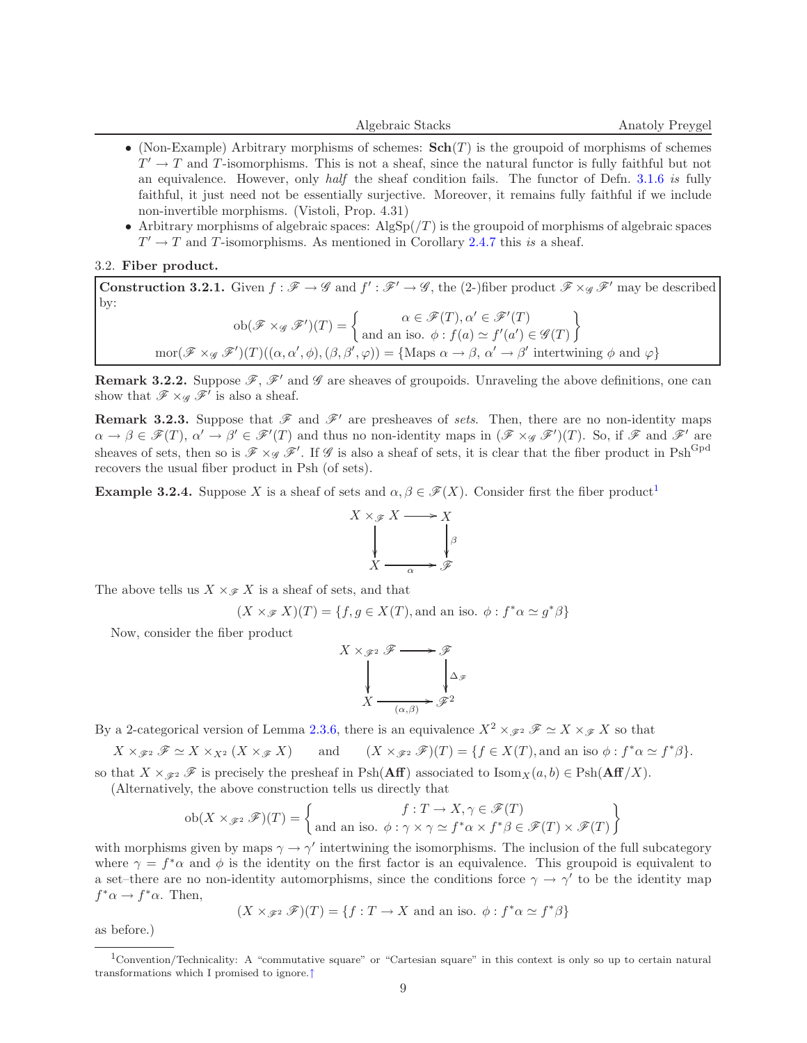- (Non-Example) Arbitrary morphisms of schemes:  $\text{Sch}(T)$  is the groupoid of morphisms of schemes  $T' \to T$  and T-isomorphisms. This is not a sheaf, since the natural functor is fully faithful but not an equivalence. However, only half the sheaf condition fails. The functor of Defn. [3.1.6](#page-7-0) is fully faithful, it just need not be essentially surjective. Moreover, it remains fully faithful if we include non-invertible morphisms. (Vistoli, Prop. 4.31)
- Arbitrary morphisms of algebraic spaces:  $\text{AlgSp}((T))$  is the groupoid of morphisms of algebraic spaces  $T' \rightarrow T$  and T-isomorphisms. As mentioned in Corollary [2.4.7](#page-4-1) this is a sheaf.

## 3.2. Fiber product.

**Construction 3.2.1.** Given  $f : \mathcal{F} \to \mathcal{G}$  and  $f' : \mathcal{F}' \to \mathcal{G}$ , the (2-)fiber product  $\mathcal{F} \times_{\mathcal{G}} \mathcal{F}'$  may be described by:  $ob(\mathscr{F} \times_{\mathscr{G}} \mathscr{F}')(T) = \begin{cases} \alpha \in \mathscr{F}(T), \alpha' \in \mathscr{F}'(T) \\ \vdots \\ \alpha' \in \mathscr{F}'(\alpha) \in \mathscr{G}'(\alpha) \end{cases}$ and an iso.  $\phi: f(a) \simeq f'(a') \in \mathscr{G}(T)$  $\mathcal{L}$  $mor(\mathscr{F} \times_{\mathscr{G}} \mathscr{F}')(T)((\alpha, \alpha', \phi), (\beta, \beta', \varphi)) = {\text{Maps } \alpha \to \beta, \alpha' \to \beta' \text{ intertwining } \phi \text{ and } \varphi}$ 

**Remark 3.2.2.** Suppose  $\mathscr{F}, \mathscr{F}'$  and  $\mathscr{G}$  are sheaves of groupoids. Unraveling the above definitions, one can show that  $\mathscr{F} \times_{\mathscr{G}} \mathscr{F}'$  is also a sheaf.

**Remark 3.2.3.** Suppose that  $\mathscr F$  and  $\mathscr F'$  are presheaves of sets. Then, there are no non-identity maps  $\alpha \to \beta \in \mathscr{F}(T), \ \alpha' \to \beta' \in \mathscr{F}'(T)$  and thus no non-identity maps in  $(\mathscr{F} \times_{\mathscr{G}} \mathscr{F}')(T)$ . So, if  $\mathscr{F}$  and  $\mathscr{F}'$  are sheaves of sets, then so is  $\mathscr{F} \times_{\mathscr{G}} \mathscr{F}'$ . If  $\mathscr{G}$  is also a sheaf of sets, it is clear that the fiber product in  $Psh^{Gpd}$ recovers the usual fiber product in Psh (of sets).

<span id="page-8-2"></span>**Example 3.2.4.** Suppose X is a sheaf of sets and  $\alpha, \beta \in \mathcal{F}(X)$ . Consider first the fiber product<sup>[1](#page-8-0)</sup>

<span id="page-8-1"></span>

The above tells us  $X \times_{\mathscr{F}} X$  is a sheaf of sets, and that

$$
(X \times_{\mathcal{F}} X)(T) = \{f, g \in X(T), \text{and an iso. } \phi : f^* \alpha \simeq g^* \beta\}
$$

Now, consider the fiber product

$$
X \times_{\mathscr{F}^2} \mathscr{F} \longrightarrow \mathscr{F}
$$
  
\n
$$
\downarrow \qquad \qquad \downarrow \qquad \searrow
$$
  
\n
$$
X \xrightarrow{(\alpha, \beta)} \mathscr{F}^2
$$

By a 2-categorical version of Lemma [2.3.6,](#page-2-1) there is an equivalence  $X^2 \times_{\mathscr{F}^2} \mathscr{F} \simeq X \times_{\mathscr{F}} X$  so that

$$
X\times_{\mathscr{F}^2}\mathscr{F}\simeq X\times_{X^2}(X\times_{\mathscr{F}}X) \qquad \text{and} \qquad (X\times_{\mathscr{F}^2}\mathscr{F})(T)=\{f\in X(T), \text{and an iso }\phi: f^*\alpha\simeq f^*\beta\}.
$$

so that  $X \times_{\mathscr{F}2} \mathscr{F}$  is precisely the presheaf in Psh(Aff) associated to Isom $_X(a, b) \in \text{Psh}(Aff/X)$ .

(Alternatively, the above construction tells us directly that

$$
\text{ob}(X \times_{\mathscr{F}^2} \mathscr{F})(T) = \left\{ \begin{aligned} f: T \to X, \gamma \in \mathscr{F}(T) \\ \text{and an iso. } \phi: \gamma \times \gamma \simeq f^* \alpha \times f^* \beta \in \mathscr{F}(T) \times \mathscr{F}(T) \end{aligned} \right\}
$$

with morphisms given by maps  $\gamma \to \gamma'$  intertwining the isomorphisms. The inclusion of the full subcategory where  $\gamma = f^* \alpha$  and  $\phi$  is the identity on the first factor is an equivalence. This groupoid is equivalent to a set–there are no non-identity automorphisms, since the conditions force  $\gamma \to \gamma'$  to be the identity map  $f^*\alpha \to f^*\alpha$ . Then,

$$
(X \times_{\mathscr{F}^2} \mathscr{F})(T) = \{f : T \to X \text{ and an iso. } \phi : f^* \alpha \simeq f^* \beta\}
$$

as before.)

<span id="page-8-0"></span><sup>1</sup>Convention/Technicality: A "commutative square" or "Cartesian square" in this context is only so up to certain natural transformations which I promised to ignore.[↑](#page-8-1)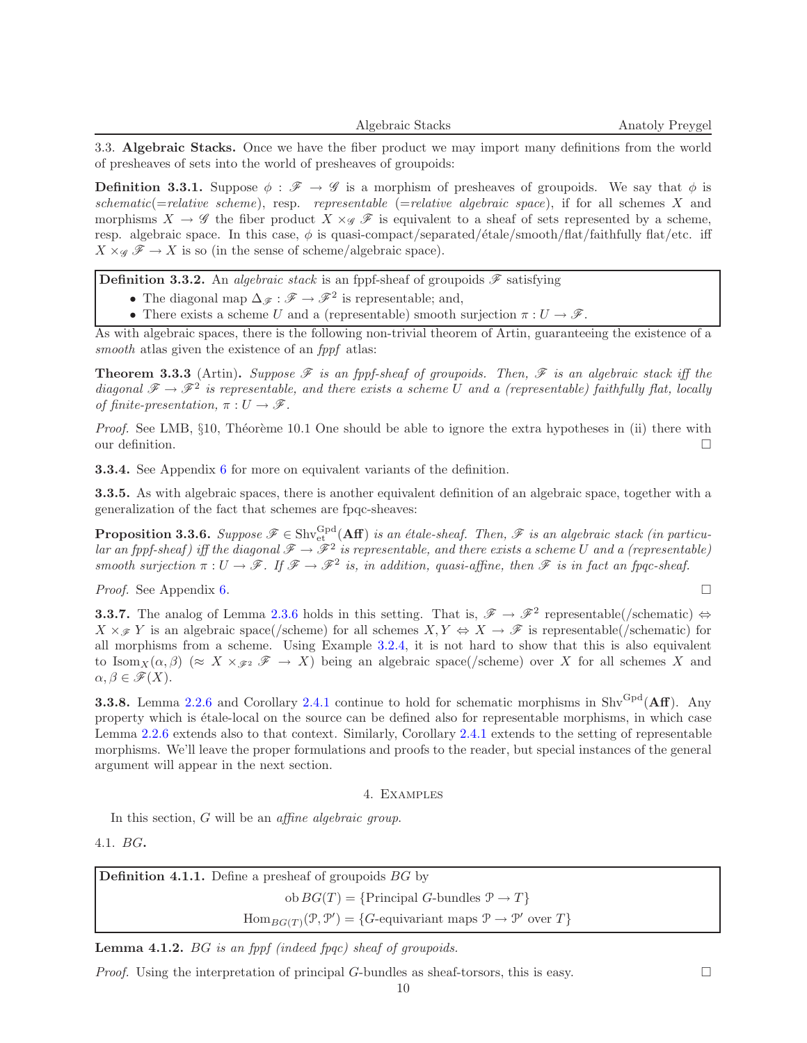3.3. Algebraic Stacks. Once we have the fiber product we may import many definitions from the world of presheaves of sets into the world of presheaves of groupoids:

**Definition 3.3.1.** Suppose  $\phi : \mathscr{F} \to \mathscr{G}$  is a morphism of presheaves of groupoids. We say that  $\phi$  is schematic(=relative scheme), resp. representable (=relative algebraic space), if for all schemes  $X$  and morphisms  $X \to \mathscr{G}$  the fiber product  $X \times_{\mathscr{G}} \mathscr{F}$  is equivalent to a sheaf of sets represented by a scheme, resp. algebraic space. In this case,  $\phi$  is quasi-compact/separated/ $\epsilon$ tale/smooth/flat/faithfully flat/etc. iff  $X \times_{\mathscr{G}} \mathscr{F} \to X$  is so (in the sense of scheme/algebraic space).

<span id="page-9-2"></span>**Definition 3.3.2.** An *algebraic stack* is an fppf-sheaf of groupoids  $\mathscr{F}$  satisfying

• The diagonal map  $\Delta_{\mathscr{F}} : \mathscr{F} \to \mathscr{F}^2$  is representable; and,

• There exists a scheme U and a (representable) smooth surjection  $\pi: U \to \mathscr{F}$ .

As with algebraic spaces, there is the following non-trivial theorem of Artin, guaranteeing the existence of a smooth at las given the existence of an *fppf* at las:

<span id="page-9-1"></span>**Theorem 3.3.3** (Artin). Suppose  $\mathscr F$  is an fppf-sheaf of groupoids. Then,  $\mathscr F$  is an algebraic stack iff the diagonal  $\mathscr{F} \to \mathscr{F}^2$  is representable, and there exists a scheme U and a (representable) faithfully flat, locally of finite-presentation,  $\pi: U \to \mathscr{F}$ .

*Proof.* See LMB,  $\S 10$ , Théorème 10.1 One should be able to ignore the extra hypotheses in (ii) there with our definition.  $\Box$ 

3.3.4. See Appendix [6](#page-15-0) for more on equivalent variants of the definition.

3.3.5. As with algebraic spaces, there is another equivalent definition of an algebraic space, together with a generalization of the fact that schemes are fpqc-sheaves:

**Proposition 3.3.6.** Suppose  $\mathscr{F} \in \text{Shv}_{\text{et}}^{\text{Gpd}}(\text{Aff})$  is an étale-sheaf. Then,  $\mathscr{F}$  is an algebraic stack (in particular an fppf-sheaf) iff the diagonal  $\mathscr{F} \to \mathscr{F}^2$  is representable, and there exists a scheme U and a (representable) smooth surjection  $\pi: U \to \mathscr{F}$ . If  $\mathscr{F} \to \mathscr{F}^2$  is, in addition, quasi-affine, then  $\mathscr{F}$  is in fact an fpqc-sheaf.

*Proof.* See Appendix [6.](#page-15-0)

**3.3.7.** The analog of Lemma [2.3.6](#page-2-1) holds in this setting. That is,  $\mathscr{F} \to \mathscr{F}^2$  representable(/schematic)  $\Leftrightarrow$  $X \times_{\mathscr{F}} Y$  is an algebraic space(/scheme) for all schemes  $X, Y \Leftrightarrow X \to \mathscr{F}$  is representable(/schematic) for all morphisms from a scheme. Using Example [3.2.4,](#page-8-2) it is not hard to show that this is also equivalent to  $\text{Isom}_X(\alpha, \beta)$  ( $\approx X \times_{\mathscr{F}^2} \mathscr{F} \to X$ ) being an algebraic space(/scheme) over X for all schemes X and  $\alpha, \beta \in \mathscr{F}(X)$ .

**3.3.8.** Lemma [2.2.6](#page-2-3) and Corollary [2.4.1](#page-3-1) continue to hold for schematic morphisms in  $\text{Shv}^{\text{Gpd}}(\text{Aff})$ . Any property which is étale-local on the source can be defined also for representable morphisms, in which case Lemma [2.2.6](#page-2-3) extends also to that context. Similarly, Corollary [2.4.1](#page-3-1) extends to the setting of representable morphisms. We'll leave the proper formulations and proofs to the reader, but special instances of the general argument will appear in the next section.

#### 4. Examples

In this section, G will be an *affine algebraic group*.

<span id="page-9-0"></span>4.1. BG.

| <b>Definition 4.1.1.</b> Define a presheaf of groupoids $BG$ by                                                              |
|------------------------------------------------------------------------------------------------------------------------------|
| $obBG(T) = {Principal G-bundles } \mathcal{P} \rightarrow T$                                                                 |
| $\text{Hom}_{BG(T)}(\mathcal{P}, \mathcal{P}') = \{G\text{-equivariant maps }\mathcal{P} \to \mathcal{P}' \text{ over } T\}$ |

Lemma 4.1.2. BG is an fppf (indeed fpqc) sheaf of groupoids.

*Proof.* Using the interpretation of principal G-bundles as sheaf-torsors, this is easy.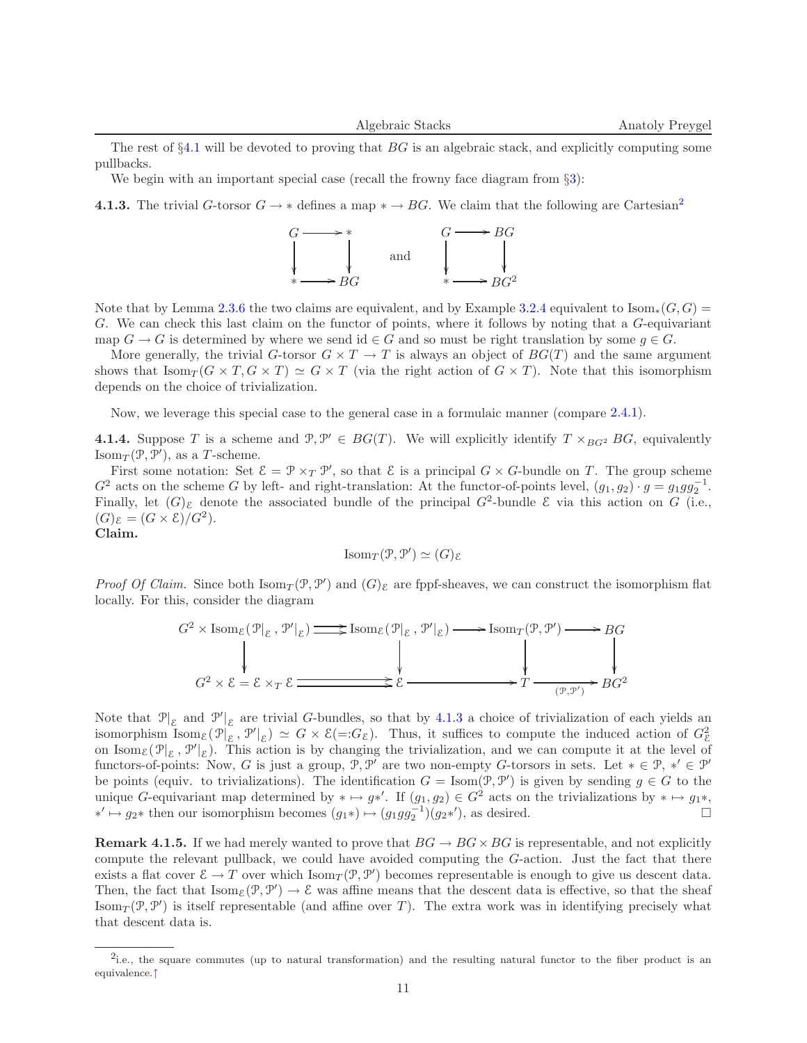The rest of  $\S 4.1$  $\S 4.1$  will be devoted to proving that  $BG$  is an algebraic stack, and explicitly computing some pullbacks.

We begin with an important special case (recall the frowny face diagram from  $\S 3$ ):

<span id="page-10-1"></span>4.1.3. The trivial G-torsor  $G \to *$  defines a map  $* \to BG$ . We claim that the following are Cartesian<sup>[2](#page-10-0)</sup>

<span id="page-10-2"></span>

Note that by Lemma [2.3.6](#page-2-1) the two claims are equivalent, and by Example [3.2.4](#page-8-2) equivalent to  $\text{Isom}_*(G, G)$ G. We can check this last claim on the functor of points, where it follows by noting that a G-equivariant map  $G \to G$  is determined by where we send id  $\in G$  and so must be right translation by some  $g \in G$ .

More generally, the trivial G-torsor  $G \times T \to T$  is always an object of  $BG(T)$  and the same argument shows that  $\text{Isom}_{T}(G \times T, G \times T) \simeq G \times T$  (via the right action of  $G \times T$ ). Note that this isomorphism depends on the choice of trivialization.

Now, we leverage this special case to the general case in a formulaic manner (compare [2.4.1\)](#page-3-1).

**4.1.4.** Suppose T is a scheme and  $\mathcal{P}, \mathcal{P}' \in BG(T)$ . We will explicitly identify  $T \times_{BG^2} BG$ , equivalently Isom $_T(\mathcal{P}, \mathcal{P}')$ , as a T-scheme.

First some notation: Set  $\mathcal{E} = \mathcal{P} \times_T \mathcal{P}'$ , so that  $\mathcal{E}$  is a principal  $G \times G$ -bundle on T. The group scheme  $G^2$  acts on the scheme G by left- and right-translation: At the functor-of-points level,  $(g_1, g_2) \cdot g = g_1 g g_2^{-1}$ . Finally, let  $(G)$ <sub> $\epsilon$ </sub> denote the associated bundle of the principal  $G^2$ -bundle  $\epsilon$  via this action on  $G$  (i.e.,  $(G)_{\mathcal{E}} = (G \times \mathcal{E})/G^2$ .

Claim.

$$
\mathrm{Isom}_T(\mathcal{P}, \mathcal{P}') \simeq (G)_{\mathcal{E}}
$$

Proof Of Claim. Since both  $\text{Isom}_T(\mathcal{P}, \mathcal{P}')$  and  $(G)_{\varepsilon}$  are fppf-sheaves, we can construct the isomorphism flat locally. For this, consider the diagram

$$
G^2 \times \text{Isom}_{\mathcal{E}}(\mathcal{P}|_{\mathcal{E}}, \mathcal{P}'|_{\mathcal{E}}) \longrightarrow \text{Isom}_{\mathcal{E}}(\mathcal{P}|_{\mathcal{E}}, \mathcal{P}'|_{\mathcal{E}}) \longrightarrow \text{Isom}_{T}(\mathcal{P}, \mathcal{P}') \longrightarrow BG
$$
  

$$
G^2 \times \mathcal{E} = \mathcal{E} \times_T \mathcal{E} \longrightarrow \mathcal{E} \longrightarrow \mathcal{E} \longrightarrow T \longrightarrow \mathcal{P} \longrightarrow BG
$$

Note that  $\mathcal{P}|_{\mathcal{E}}$  and  $\mathcal{P}'|_{\mathcal{E}}$  are trivial G-bundles, so that by [4.1.3](#page-10-1) a choice of trivialization of each yields an isomorphism Isom<sub> $\varepsilon$ </sub> $(\mathcal{P}|_{\varepsilon}, \mathcal{P}'|_{\varepsilon}) \simeq G \times \varepsilon (=G_{\varepsilon}).$  Thus, it suffices to compute the induced action of  $G_{\varepsilon}^2$ on Isom<sub> $\mathcal{E}(\mathcal{P}|_{\mathcal{E}}, \mathcal{P}'|_{\mathcal{E}})$ . This action is by changing the trivialization, and we can compute it at the level of</sub> functors-of-points: Now, G is just a group,  $\mathcal{P}, \mathcal{P}'$  are two non-empty G-torsors in sets. Let  $* \in \mathcal{P}, *' \in \mathcal{P}'$ be points (equiv. to trivializations). The identification  $G = \text{Isom}(\mathcal{P}, \mathcal{P}')$  is given by sending  $g \in G$  to the unique G-equivariant map determined by  $* \mapsto g*'$ . If  $(g_1, g_2) \in G^2$  acts on the trivializations by  $* \mapsto g_1*$ , <sup>\*</sup> →  $g_2$ <sup>\*</sup> then our isomorphism becomes  $(g_1*) \mapsto (g_1gg_2^{-1})(g_2*)$ , as desired.

**Remark 4.1.5.** If we had merely wanted to prove that  $BG \rightarrow BG \times BG$  is representable, and not explicitly compute the relevant pullback, we could have avoided computing the G-action. Just the fact that there exists a flat cover  $\mathcal{E} \to T$  over which  $\text{Isom}_T(\mathcal{P}, \mathcal{P}')$  becomes representable is enough to give us descent data. Then, the fact that  $\text{Isom}_{\mathcal{E}}(\mathcal{P}, \mathcal{P}') \to \mathcal{E}$  was affine means that the descent data is effective, so that the sheaf Isom $_T(\mathcal{P}, \mathcal{P}')$  is itself representable (and affine over T). The extra work was in identifying precisely what that descent data is.

<span id="page-10-0"></span><sup>&</sup>lt;sup>2</sup>i.e., the square commutes (up to natural transformation) and the resulting natural functor to the fiber product is an equivalence.[↑](#page-10-2)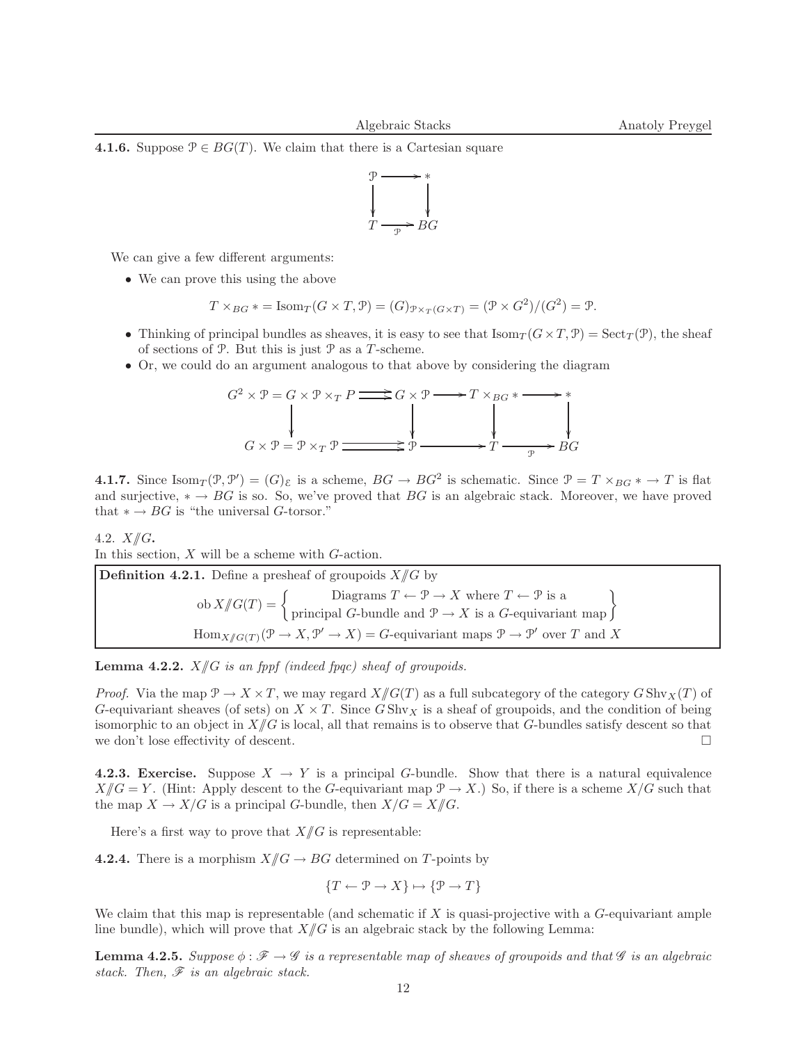**4.1.6.** Suppose  $P \in BG(T)$ . We claim that there is a Cartesian square



We can give a few different arguments:

• We can prove this using the above

$$
T \times_{BG} \ast = \text{Isom}_{T}(G \times T, \mathcal{P}) = (G)_{\mathcal{P} \times_{T}(G \times T)} = (\mathcal{P} \times G^{2})/(G^{2}) = \mathcal{P}.
$$

- Thinking of principal bundles as sheaves, it is easy to see that  $\text{Isom}_T(G \times T, \mathcal{P}) = \text{Sect}_T(\mathcal{P})$ , the sheaf of sections of  $P$ . But this is just  $P$  as a T-scheme.
- Or, we could do an argument analogous to that above by considering the diagram

$$
G^{2} \times \mathcal{P} = G \times \mathcal{P} \times_{T} P \longrightarrow G \times \mathcal{P} \longrightarrow T \times_{BG} \times \longrightarrow \ast
$$
  
\n
$$
G \times \mathcal{P} = \mathcal{P} \times_{T} \mathcal{P} \longrightarrow \ast
$$
  
\n
$$
\downarrow
$$
  
\n
$$
\downarrow
$$
  
\n
$$
\downarrow
$$
  
\n
$$
\downarrow
$$
  
\n
$$
\downarrow
$$
  
\n
$$
\downarrow
$$
  
\n
$$
\downarrow
$$
  
\n
$$
\downarrow
$$
  
\n
$$
\downarrow
$$
  
\n
$$
\downarrow
$$
  
\n
$$
\downarrow
$$
  
\n
$$
\downarrow
$$
  
\n
$$
\downarrow
$$
  
\n
$$
\downarrow
$$
  
\n
$$
\downarrow
$$
  
\n
$$
\downarrow
$$
  
\n
$$
\downarrow
$$
  
\n
$$
\downarrow
$$
  
\n
$$
\downarrow
$$
  
\n
$$
\downarrow
$$
  
\n
$$
\downarrow
$$
  
\n
$$
\downarrow
$$
  
\n
$$
\downarrow
$$
  
\n
$$
\downarrow
$$
  
\n
$$
\downarrow
$$
  
\n
$$
\downarrow
$$
  
\n
$$
\downarrow
$$
  
\n
$$
\downarrow
$$
  
\n
$$
\downarrow
$$
  
\n
$$
\downarrow
$$
  
\n
$$
\downarrow
$$
  
\n
$$
\downarrow
$$
  
\n
$$
\downarrow
$$
  
\n
$$
\downarrow
$$
  
\n
$$
\downarrow
$$
  
\n
$$
\downarrow
$$
  
\n
$$
\downarrow
$$
  
\n
$$
\downarrow
$$
  
\n
$$
\downarrow
$$
  
\n
$$
\downarrow
$$
  
\n
$$
\downarrow
$$
  
\n
$$
\downarrow
$$
  
\n
$$
\downarrow
$$
  
\n
$$
\downarrow
$$
  
\n
$$
\downarrow
$$
  
\n
$$
\downarrow
$$
  
\n
$$
\downarrow
$$
  
\

**4.1.7.** Since  $\text{Isom}_T(\mathcal{P}, \mathcal{P}') = (G)_{\mathcal{E}}$  is a scheme,  $BG \to BG^2$  is schematic. Since  $\mathcal{P} = T \times_{BG} * \to T$  is flat and surjective,  $* \rightarrow BG$  is so. So, we've proved that BG is an algebraic stack. Moreover, we have proved that  $* \to BG$  is "the universal G-torsor."

#### 4.2.  $X/\!\!/ G$ .

In this section,  $X$  will be a scheme with  $G$ -action.

**Definition 4.2.1.** Define a presheaf of groupoids  $X/\!\!/ G$  by  $\text{ob } X/\!\!/ G(T) = \left\{ \begin{array}{c} \text{Diagrams } T \leftarrow \mathcal{P} \rightarrow X \text{ where } T \leftarrow \mathcal{P} \text{ is a} \\ \text{principal } G\text{-bundle and } \mathcal{P} \rightarrow X \text{ is a } G\text{-equivariant map} \end{array} \right\}$  $\text{Hom}_{X/\!\!/ G(T)}(\mathcal{P}\to X,\mathcal{P}'\to X)=G$ -equivariant maps  $\mathcal{P}\to\mathcal{P}'$  over T and X

**Lemma 4.2.2.**  $X/\!\!/ G$  is an fppf (indeed fpqc) sheaf of groupoids.

*Proof.* Via the map  $\mathcal{P} \to X \times T$ , we may regard  $X/\!\!/ G(T)$  as a full subcategory of the category  $G \text{Shv}_X(T)$  of G-equivariant sheaves (of sets) on  $X \times T$ . Since GShv<sub>X</sub> is a sheaf of groupoids, and the condition of being isomorphic to an object in  $X/\!\!/ G$  is local, all that remains is to observe that G-bundles satisfy descent so that we don't lose effectivity of descent.

<span id="page-11-0"></span>4.2.3. Exercise. Suppose  $X \to Y$  is a principal G-bundle. Show that there is a natural equivalence  $X/\!\!/ G = Y$ . (Hint: Apply descent to the G-equivariant map  $\mathcal{P} \to X$ .) So, if there is a scheme  $X/G$  such that the map  $X \to X/G$  is a principal G-bundle, then  $X/G = X/\!\!/ G$ .

Here's a first way to prove that  $X/\!\!/ G$  is representable:

**4.2.4.** There is a morphism  $X/\!\!/ G \to BG$  determined on T-points by

$$
\{T \leftarrow \mathcal{P} \rightarrow X\} \mapsto \{\mathcal{P} \rightarrow T\}
$$

We claim that this map is representable (and schematic if  $X$  is quasi-projective with a  $G$ -equivariant ample line bundle), which will prove that  $X/\!\!/ G$  is an algebraic stack by the following Lemma:

**Lemma 4.2.5.** Suppose  $\phi : \mathcal{F} \to \mathcal{G}$  is a representable map of sheaves of groupoids and that  $\mathcal{G}$  is an algebraic stack. Then,  $\mathscr F$  is an algebraic stack.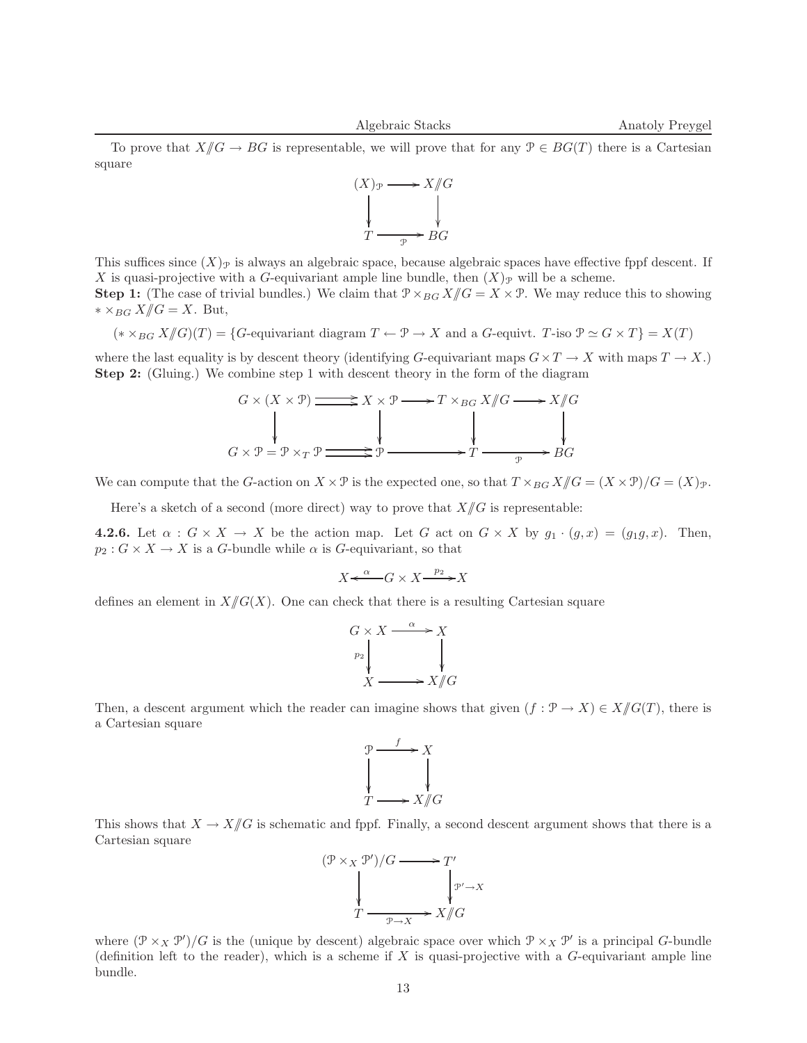To prove that  $X/\!\!/ G \to BG$  is representable, we will prove that for any  $\mathcal{P} \in BG(T)$  there is a Cartesian square



This suffices since  $(X)_{\mathcal{P}}$  is always an algebraic space, because algebraic spaces have effective fppf descent. If X is quasi-projective with a G-equivariant ample line bundle, then  $(X)_{\mathcal{P}}$  will be a scheme. **Step 1:** (The case of trivial bundles.) We claim that  $\mathcal{P} \times_{BG} X/\!\!/ G = X \times \mathcal{P}$ . We may reduce this to showing

 $* ×_{BG} X /\!\!/ G = X$ . But,

$$
(*\times_{BG}X/\!\!/G)(T) = \{G\text{-equivariant diagram }T\leftarrow \mathcal{P}\rightarrow X \text{ and a }G\text{-equivariant }T\text{-iso }\mathcal{P}\simeq G\times T\} = X(T)
$$

where the last equality is by descent theory (identifying G-equivariant maps  $G \times T \to X$  with maps  $T \to X$ .) Step 2: (Gluing.) We combine step 1 with descent theory in the form of the diagram

$$
G \times (X \times \mathcal{P}) \longrightarrow X \times \mathcal{P} \longrightarrow T \times_{BG} X/\!\!/ G \longrightarrow X/\!\!/ G
$$
  

$$
G \times \mathcal{P} = \mathcal{P} \times_T \mathcal{P} \longrightarrow \mathcal{P} \longrightarrow \mathcal{P} \longrightarrow T \longrightarrow \mathcal{P} \longrightarrow BG
$$

We can compute that the G-action on  $X \times \mathcal{P}$  is the expected one, so that  $T \times_{BG} X/\!\!/ G = (X \times \mathcal{P})/G = (X)\mathcal{P}$ .

Here's a sketch of a second (more direct) way to prove that  $X/\!\!/ G$  is representable:

**4.2.6.** Let  $\alpha$  :  $G \times X \to X$  be the action map. Let G act on  $G \times X$  by  $g_1 \cdot (g, x) = (g_1g, x)$ . Then,  $p_2: G \times X \to X$  is a G-bundle while  $\alpha$  is G-equivariant, so that

 $X \xleftarrow{\alpha} G \times X \xrightarrow{p_2} X$ 

defines an element in  $X/\!\!/ G(X)$ . One can check that there is a resulting Cartesian square



Then, a descent argument which the reader can imagine shows that given  $(f: \mathcal{P} \to X) \in X/\!\!/ G(T)$ , there is a Cartesian square



This shows that  $X \to X/\!\!/ G$  is schematic and fppf. Finally, a second descent argument shows that there is a Cartesian square



where  $(\mathcal{P} \times_X \mathcal{P}')/G$  is the (unique by descent) algebraic space over which  $\mathcal{P} \times_X \mathcal{P}'$  is a principal G-bundle (definition left to the reader), which is a scheme if  $X$  is quasi-projective with a  $G$ -equivariant ample line bundle.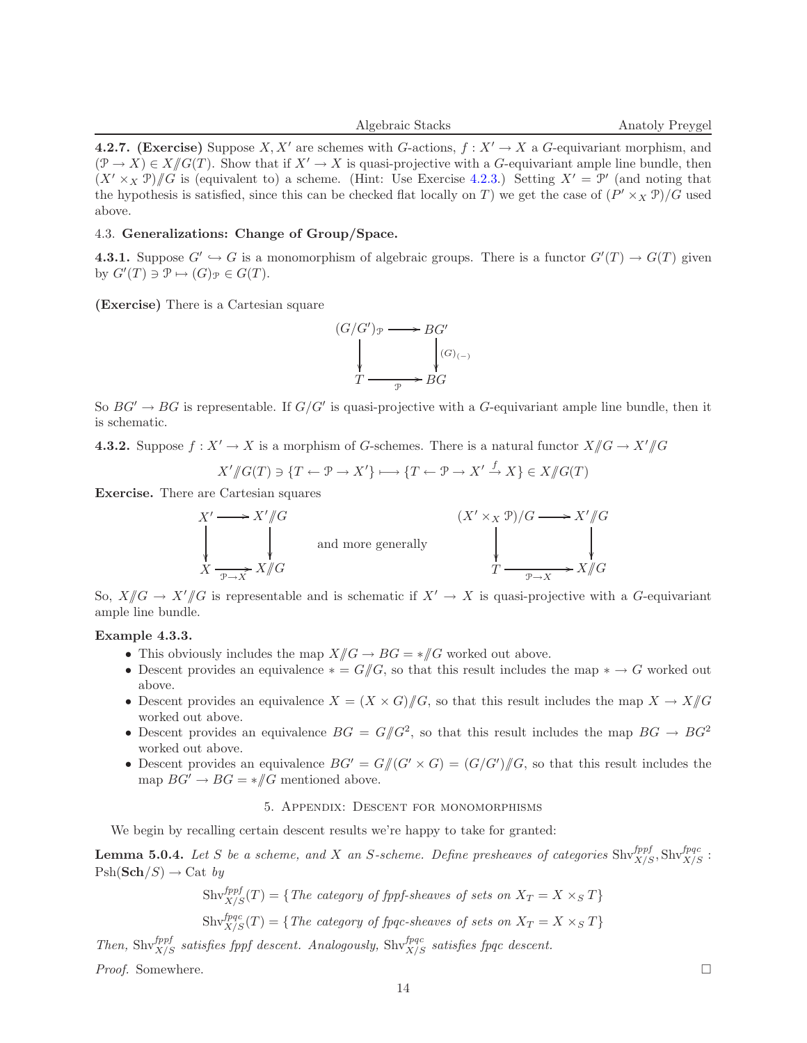4.2.7. (Exercise) Suppose X, X' are schemes with G-actions,  $f: X' \to X$  a G-equivariant morphism, and  $(\mathcal{P} \to X) \in X/\!\!/ G(T)$ . Show that if  $X' \to X$  is quasi-projective with a G-equivariant ample line bundle, then  $(X' \times_X \mathcal{P})/ \mathcal{G}$  is (equivalent to) a scheme. (Hint: Use Exercise [4.2.3.](#page-11-0)) Setting  $X' = \mathcal{P}'$  (and noting that the hypothesis is satisfied, since this can be checked flat locally on T) we get the case of  $(P' \times_X P)/G$  used above.

## 4.3. Generalizations: Change of Group/Space.

**4.3.1.** Suppose  $G' \hookrightarrow G$  is a monomorphism of algebraic groups. There is a functor  $G'(T) \to G(T)$  given by  $G'(T) \ni \mathcal{P} \mapsto (G)_{\mathcal{P}} \in G(T)$ .

(Exercise) There is a Cartesian square



So  $BG' \rightarrow BG$  is representable. If  $G/G'$  is quasi-projective with a G-equivariant ample line bundle, then it is schematic.

**4.3.2.** Suppose  $f: X' \to X$  is a morphism of G-schemes. There is a natural functor  $X/\!\!/ G \to X'/\!\!/ G$ 

$$
X'/\!\!/G(T) \ni \{T \leftarrow \mathcal{P} \rightarrow X'\} \longmapsto \{T \leftarrow \mathcal{P} \rightarrow X' \stackrel{f}{\rightarrow} X\} \in X/\!\!/G(T)
$$

Exercise. There are Cartesian squares

$$
X' \longrightarrow X'/\!\!/G
$$
\n
$$
\downarrow \qquad \qquad (X' \times_X \mathcal{P})/G \longrightarrow X'/\!\!/G
$$
\n
$$
X \longrightarrow X \longrightarrow X'/\!\!/G
$$
\nand more generally\n
$$
X \longrightarrow X/\!\!/G
$$
\n
$$
T \longrightarrow X/\!\!/G
$$

So,  $X/\!\!/ G \to X'/\!\!/ G$  is representable and is schematic if  $X' \to X$  is quasi-projective with a G-equivariant ample line bundle.

# Example 4.3.3.

- This obviously includes the map  $X/\!\!/ G \to BG = \mathcal{H}/G$  worked out above.
- Descent provides an equivalence  $* = G/\!\!/ G$ , so that this result includes the map  $* \to G$  worked out above.
- Descent provides an equivalence  $X = (X \times G)/\!\!/ G$ , so that this result includes the map  $X \to X/\!\!/ G$ worked out above.
- Descent provides an equivalence  $BG = G/G^2$ , so that this result includes the map  $BG \rightarrow BG^2$ worked out above.
- Descent provides an equivalence  $BG' = G/(G' \times G) = (G/G')/G$ , so that this result includes the map  $BG' \to BG = \mathcal{H}G$  mentioned above.

# 5. Appendix: Descent for monomorphisms

We begin by recalling certain descent results we're happy to take for granted:

<span id="page-13-0"></span>**Lemma 5.0.4.** Let S be a scheme, and X an S-scheme. Define presheaves of categories  $\text{Shv}_{X/S}^{fppf}, \text{Shv}_{X/S}^{fppc}$ :  $\mathrm{Psh}(\mathbf{Sch}/S) \rightarrow \mathrm{Cat}$  by

$$
\text{Shv}_{X/S}^{fppf}(T) = \{ \text{The category of fppf-sheaves of sets on } X_T = X \times_S T \}
$$

$$
Shv_{X/S}^{fpqc}(T) = \{ The category of fpqc-sheaves of sets on X_T = X \times_S T \}
$$

Then,  $\text{Shv}^{fppf}_{X/S}$  satisfies fppf descent. Analogously,  $\text{Shv}^{fpqc}_{X/S}$  satisfies fpqc descent.

<span id="page-13-1"></span>Proof. Somewhere.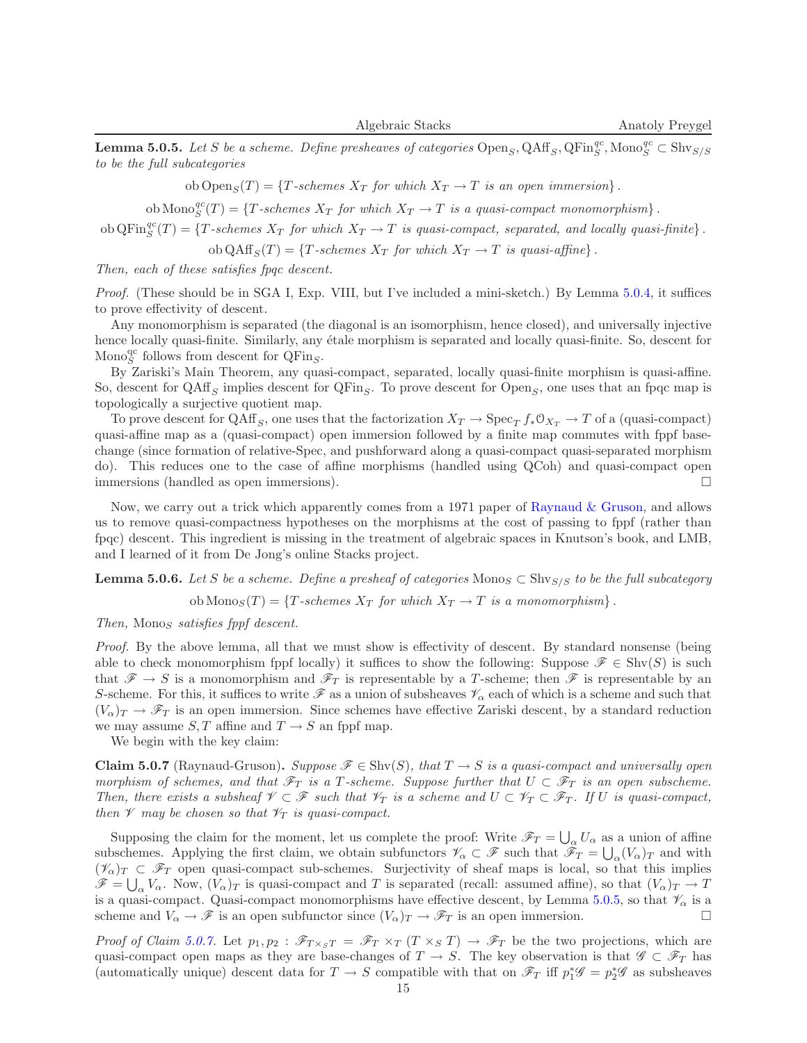**Lemma 5.0.5.** Let S be a scheme. Define presheaves of categories  $\text{Open}_S, \text{QAff}_S, \text{QFin}_S^{qc}$ ,  $\text{Mono}_S^{qc} \subset \text{Shv}_{S/S}$ to be the full subcategories

ob Open<sub>S</sub> $(T) = \{T\text{-}schemes X_T \text{ for which } X_T \to T \text{ is an open immersion}\}.$ 

ob Mono $_S^{qc}(T) = \{T \text{-schemes } X_T \text{ for which } X_T \to T \text{ is a quasi-compact monomorphism}\}\.$ 

 $\text{ob QFin}_{S}^{qc}(T) = \{T\text{-schemes } X_T \text{ for which } X_T \to T \text{ is quasi-compact, separated, and locally quasi-finite}\}\.$ 

ob  $\text{QAff}_S(T) = \{T \text{-schemes } X_T \text{ for which } X_T \to T \text{ is quasi-affine}\}.$ 

Then, each of these satisfies fpqc descent.

Proof. (These should be in SGA I, Exp. VIII, but I've included a mini-sketch.) By Lemma [5.0.4,](#page-13-0) it suffices to prove effectivity of descent.

Any monomorphism is separated (the diagonal is an isomorphism, hence closed), and universally injective hence locally quasi-finite. Similarly, any étale morphism is separated and locally quasi-finite. So, descent for Mono $_{S}^{\text{qc}}$  follows from descent for  $\dot{\text{QFin}}_S$ .

By Zariski's Main Theorem, any quasi-compact, separated, locally quasi-finite morphism is quasi-affine. So, descent for  $QAff_S$  implies descent for  $QFin_S$ . To prove descent for  $Open_S$ , one uses that an fpqc map is topologically a surjective quotient map.

To prove descent for  $Q\overline{\text{Aff}}_S$ , one uses that the factorization  $X_T \to \text{Spec}_T f_* \mathbb{O}_{X_T} \to T$  of a (quasi-compact) quasi-affine map as a (quasi-compact) open immersion followed by a finite map commutes with fppf basechange (since formation of relative-Spec, and pushforward along a quasi-compact quasi-separated morphism do). This reduces one to the case of affine morphisms (handled using QCoh) and quasi-compact open immersions (handled as open immersions).

Now, we carry out a trick which apparently comes from a 1971 paper of [Raynaud & Gruson,](http://www.springerlink.com/content/t0675rw74565u076/) and allows us to remove quasi-compactness hypotheses on the morphisms at the cost of passing to fppf (rather than fpqc) descent. This ingredient is missing in the treatment of algebraic spaces in Knutson's book, and LMB, and I learned of it from De Jong's online Stacks project.

<span id="page-14-0"></span>**Lemma 5.0.6.** Let S be a scheme. Define a presheaf of categories Monos  $\subset$  Shv $_{S/S}$  to be the full subcategory

ob  $\text{Monos}(T) = \{T \text{-schemes } X_T \text{ for which } X_T \to T \text{ is a monomorphism}\}.$ 

Then, Monos satisfies fppf descent.

Proof. By the above lemma, all that we must show is effectivity of descent. By standard nonsense (being able to check monomorphism fppf locally) it suffices to show the following: Suppose  $\mathscr{F} \in \text{Shv}(S)$  is such that  $\mathscr{F} \to S$  is a monomorphism and  $\mathscr{F}_T$  is representable by a T-scheme; then  $\mathscr{F}$  is representable by an S-scheme. For this, it suffices to write  $\mathscr F$  as a union of subsheaves  $\mathscr V_\alpha$  each of which is a scheme and such that  $(V_{\alpha})_T \to \mathscr{F}_T$  is an open immersion. Since schemes have effective Zariski descent, by a standard reduction we may assume  $S, T$  affine and  $T \rightarrow S$  an fppf map.

We begin with the key claim:

<span id="page-14-1"></span>**Claim 5.0.7** (Raynaud-Gruson). Suppose  $\mathscr{F} \in \text{Shv}(S)$ , that  $T \to S$  is a quasi-compact and universally open morphism of schemes, and that  $\mathscr{F}_T$  is a T-scheme. Suppose further that  $U \subset \mathscr{F}_T$  is an open subscheme. Then, there exists a subsheaf  $\mathscr{V} \subset \mathscr{F}$  such that  $\mathscr{V}_T$  is a scheme and  $U \subset \mathscr{V}_T \subset \mathscr{F}_T$ . If U is quasi-compact, then  $\mathscr V$  may be chosen so that  $\mathscr V_T$  is quasi-compact.

Supposing the claim for the moment, let us complete the proof: Write  $\mathscr{F}_T = \bigcup_{\alpha} U_{\alpha}$  as a union of affine subschemes. Applying the first claim, we obtain subfunctors  $\mathscr{V}_{\alpha} \subset \mathscr{F}$  such that  $\mathscr{F}_{T} = \bigcup_{\alpha}(V_{\alpha})_{T}$  and with  $(\mathscr{V}_{\alpha})_T \subset \mathscr{F}_T$  open quasi-compact sub-schemes. Surjectivity of sheaf maps is local, so that this implies  $\mathscr{F} = \bigcup_{\alpha} V_{\alpha}$ . Now,  $(V_{\alpha})_T$  is quasi-compact and T is separated (recall: assumed affine), so that  $(V_{\alpha})_T \to T$ is a quasi-compact. Quasi-compact monomorphisms have effective descent, by Lemma [5.0.5,](#page-13-1) so that  $\mathcal{V}_{\alpha}$  is a scheme and  $V_{\alpha} \to \mathscr{F}$  is an open subfunctor since  $(V_{\alpha})_T \to \mathscr{F}_T$  is an open immersion.

Proof of Claim [5.0.7.](#page-14-1) Let  $p_1, p_2 : \mathscr{F}_{T \times_S T} = \mathscr{F}_T \times_T (T \times_S T) \to \mathscr{F}_T$  be the two projections, which are quasi-compact open maps as they are base-changes of  $T \to S$ . The key observation is that  $\mathscr{G} \subset \mathscr{F}_T$  has (automatically unique) descent data for  $T \to S$  compatible with that on  $\mathscr{F}_T$  iff  $p_1^*\mathscr{G} = p_2^*\mathscr{G}$  as subsheaves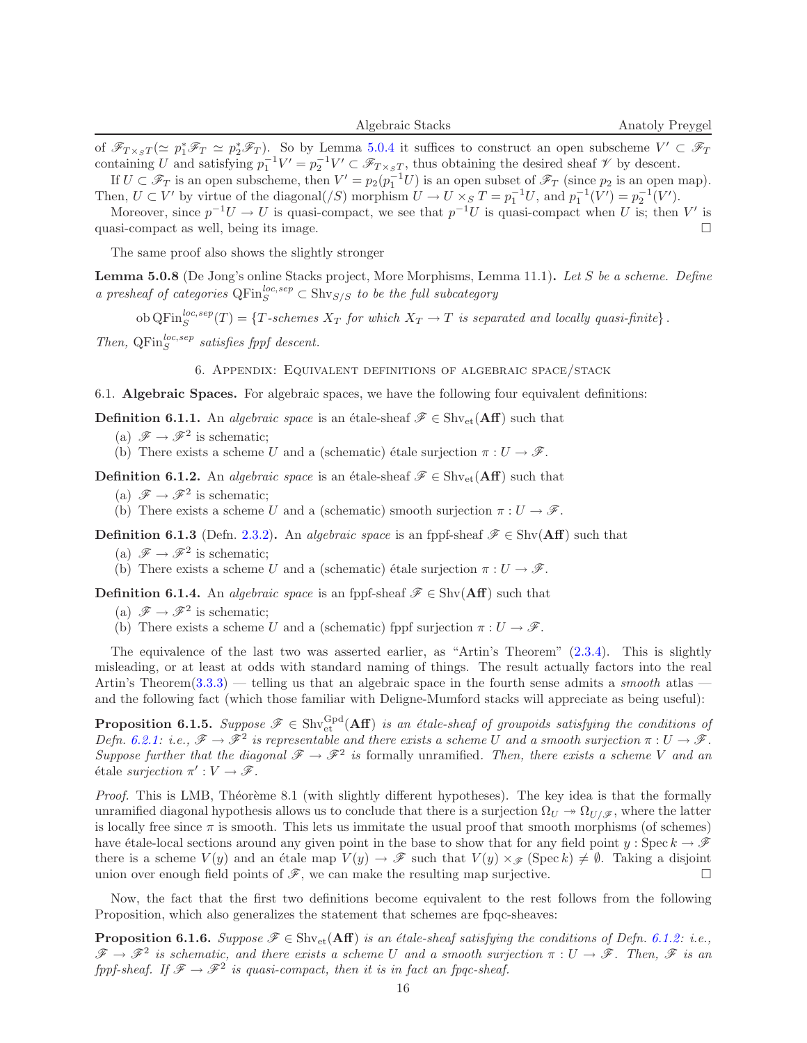of  $\mathscr{F}_{T\times_{S}T}(\simeq p_{1}^{*}\mathscr{F}_{T}\simeq p_{2}^{*}\mathscr{F}_{T})$ . So by Lemma [5.0.4](#page-13-0) it suffices to construct an open subscheme  $V'\subset\mathscr{F}_{T}$ containing U and satisfying  $p_1^{-1}V' = p_2^{-1}V' \subset \mathscr{F}_{T \times_S T}$ , thus obtaining the desired sheaf  $\mathscr V$  by descent.

If  $U \subset \mathscr{F}_T$  is an open subscheme, then  $V' = p_2(p_1^{-1}U)$  is an open subset of  $\mathscr{F}_T$  (since  $p_2$  is an open map). Then,  $U \subset V'$  by virtue of the diagonal(/S) morphism  $U \to U \times_S T = p_1^{-1}U$ , and  $p_1^{-1}(V') = p_2^{-1}(V')$ .

Moreover, since  $p^{-1}U \to U$  is quasi-compact, we see that  $p^{-1}U$  is quasi-compact when U is; then V' is quasi-compact as well, being its image.  $\square$ 

The same proof also shows the slightly stronger

Lemma 5.0.8 (De Jong's online Stacks project, More Morphisms, Lemma 11.1). Let S be a scheme. Define a presheaf of categories  $\mathbb{Q} \text{Fin}_S^{loc,sep} \subset \text{Shv}_{S/S}$  to be the full subcategory

 $\text{ob QFin}_S^{loc,sep}(T) = \{T\text{-schemes }X_T \text{ for which } X_T \to T \text{ is separated and locally quasi-finite}\}\.$ Then,  $QFin_S^{loc,sep}$  satisfies fppf descent.

6. Appendix: Equivalent definitions of algebraic space/stack

<span id="page-15-0"></span>6.1. Algebraic Spaces. For algebraic spaces, we have the following four equivalent definitions:

**Definition 6.1.1.** An algebraic space is an étale-sheaf  $\mathscr{F} \in \text{Shv}_{et}(\mathbf{Aff})$  such that

(a)  $\mathscr{F} \to \mathscr{F}^2$  is schematic;

(b) There exists a scheme U and a (schematic) étale surjection  $\pi : U \to \mathscr{F}$ .

<span id="page-15-1"></span>**Definition 6.1.2.** An *algebraic space* is an étale-sheaf  $\mathscr{F} \in \text{Shv}_{et}(\mathbf{Aff})$  such that

- (a)  $\mathscr{F} \to \mathscr{F}^2$  is schematic;
- (b) There exists a scheme U and a (schematic) smooth surjection  $\pi: U \to \mathscr{F}$ .

**Definition 6.1.3** (Defn. [2.3.2\)](#page-2-4). An algebraic space is an fppf-sheaf  $\mathscr{F} \in \text{Shv}(\mathbf{Aff})$  such that

- (a)  $\mathscr{F} \to \mathscr{F}^2$  is schematic;
- (b) There exists a scheme U and a (schematic) étale surjection  $\pi : U \to \mathscr{F}$ .

**Definition 6.1.4.** An *algebraic space* is an fppf-sheaf  $\mathscr{F} \in \text{Shv}(\mathbf{Aff})$  such that

- (a)  $\mathscr{F} \to \mathscr{F}^2$  is schematic;
- (b) There exists a scheme U and a (schematic) fppf surjection  $\pi: U \to \mathscr{F}$ .

The equivalence of the last two was asserted earlier, as "Artin's Theorem" [\(2.3.4\)](#page-2-5). This is slightly misleading, or at least at odds with standard naming of things. The result actually factors into the real Artin's Theorem  $(3.3.3)$  — telling us that an algebraic space in the fourth sense admits a *smooth* atlas and the following fact (which those familiar with Deligne-Mumford stacks will appreciate as being useful):

**Proposition 6.1.5.** Suppose  $\mathscr{F} \in \text{Shv}_{\text{et}}^{\text{Gpd}}(\text{Aff})$  is an étale-sheaf of groupoids satisfying the conditions of Defn. [6.2.1:](#page-16-0) i.e.,  $\mathscr{F} \to \mathscr{F}^2$  is representable and there exists a scheme U and a smooth surjection  $\pi: U \to \mathscr{F}$ . Suppose further that the diagonal  $\mathscr{F} \to \mathscr{F}^2$  is formally unramified. Then, there exists a scheme V and an étale surjection  $\pi': V \to \mathscr{F}$ .

Proof. This is LMB, Théorème 8.1 (with slightly different hypotheses). The key idea is that the formally unramified diagonal hypothesis allows us to conclude that there is a surjection  $\Omega_U \to \Omega_{U/\mathscr{F}}$ , where the latter is locally free since  $\pi$  is smooth. This lets us immitate the usual proof that smooth morphisms (of schemes) have étale-local sections around any given point in the base to show that for any field point y: Spec  $k \to \mathcal{F}$ there is a scheme  $V(y)$  and an étale map  $V(y) \to \mathscr{F}$  such that  $V(y) \times_{\mathscr{F}} (\text{Spec } k) \neq \emptyset$ . Taking a disjoint union over enough field points of  $\mathscr{F}$ , we can make the resulting map surjective.

<span id="page-15-2"></span>Now, the fact that the first two definitions become equivalent to the rest follows from the following Proposition, which also generalizes the statement that schemes are fpqc-sheaves:

**Proposition 6.1.6.** Suppose  $\mathscr{F} \in \text{Shv}_{\text{et}}(\text{Aff})$  is an étale-sheaf satisfying the conditions of Defn. [6.1.2:](#page-15-1) i.e.,  $\mathscr{F} \to \mathscr{F}^2$  is schematic, and there exists a scheme U and a smooth surjection  $\pi: U \to \mathscr{F}$ . Then,  $\mathscr{F}$  is an fppf-sheaf. If  $\mathscr{F} \to \mathscr{F}^2$  is quasi-compact, then it is in fact an fpqc-sheaf.